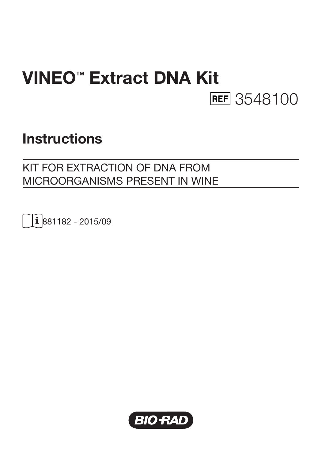# VINEO™ Extract DNA Kit **REF** 3548100

## **Instructions**

## KIT FOR EXTRACTION OF DNA FROM MICROORGANISMS PRESENT IN WINE

1881182 - 2015/09

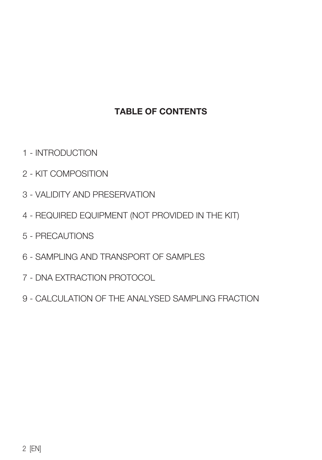## TABLE OF CONTENTS

- 1 INTRODUCTION
- 2 KIT COMPOSITION
- 3 VALIDITY AND PRESERVATION
- 4 REQUIRED EQUIPMENT (NOT PROVIDED IN THE KIT)
- 5 PRECAUTIONS
- 6 SAMPLING AND TRANSPORT OF SAMPLES
- 7 DNA EXTRACTION PROTOCOL
- 9 CALCULATION OF THE ANALYSED SAMPLING FRACTION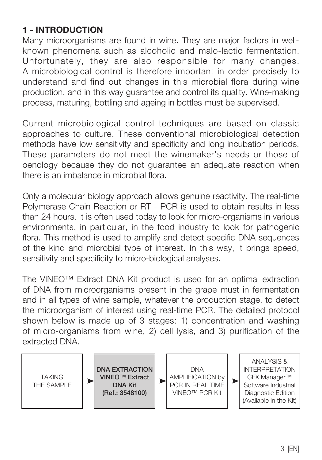## 1 - INTRODUCTION

Many microorganisms are found in wine. They are major factors in wellknown phenomena such as alcoholic and malo-lactic fermentation. Unfortunately, they are also responsible for many changes. A microbiological control is therefore important in order precisely to understand and find out changes in this microbial flora during wine production, and in this way guarantee and control its quality. Wine-making process, maturing, bottling and ageing in bottles must be supervised.

Current microbiological control techniques are based on classic approaches to culture. These conventional microbiological detection methods have low sensitivity and specificity and long incubation periods. These parameters do not meet the winemaker's needs or those of oenology because they do not guarantee an adequate reaction when there is an imbalance in microbial flora.

Only a molecular biology approach allows genuine reactivity. The real-time Polymerase Chain Reaction or RT - PCR is used to obtain results in less than 24 hours. It is often used today to look for micro-organisms in various environments, in particular, in the food industry to look for pathogenic flora. This method is used to amplify and detect specific DNA sequences of the kind and microbial type of interest. In this way, it brings speed, sensitivity and specificity to micro-biological analyses.

The VINEO™ Extract DNA Kit product is used for an optimal extraction of DNA from microorganisms present in the grape must in fermentation and in all types of wine sample, whatever the production stage, to detect the microorganism of interest using real-time PCR. The detailed protocol shown below is made up of 3 stages: 1) concentration and washing of micro-organisms from wine, 2) cell lysis, and 3) purification of the extracted DNA.

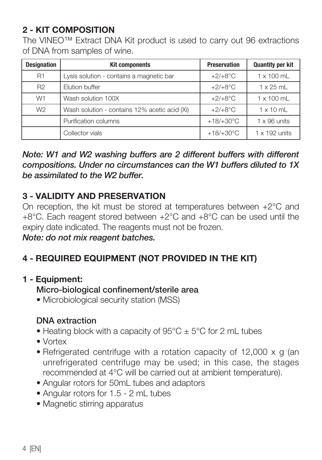## 2 - KIT COMPOSITION

The VINEO™ Extract DNA Kit product is used to carry out 96 extractions of DNA from samples of wine.

| <b>Designation</b> | <b>Kit components</b>                         | <b>Preservation</b> | <b>Quantity per kit</b> |
|--------------------|-----------------------------------------------|---------------------|-------------------------|
| <b>R1</b>          | Lysis solution - contains a magnetic bar      | $+2/+8$ °C          | $1 \times 100$ ml       |
| R <sub>2</sub>     | Elution buffer                                | $+2/+8$ °C          | $1 \times 25$ ml        |
| W <sub>1</sub>     | Wash solution 100X                            | $+2/+8$ °C          | $1 \times 100$ ml       |
| W <sub>2</sub>     | Wash solution - contains 12% acetic acid (Xi) | $+2/+8$ °C          | $1 \times 10$ ml        |
|                    | Purification columns                          | $+18/+30°C$         | $1 \times 96$ units     |
|                    | Collector vials                               | $+18/+30^{\circ}$ C | $1 \times 192$ units    |

*Note: W1 and W2 washing buffers are 2 different buffers with different compositions. Under no circumstances can the W1 buffers diluted to 1X be assimilated to the W2 buffer.*

#### 3 - VALIDITY AND PRESERVATION

On reception, the kit must be stored at temperatures between +2°C and +8°C. Each reagent stored between +2°C and +8°C can be used until the expiry date indicated. The reagents must not be frozen.

#### *Note: do not mix reagent batches.*

## 4 - REQUIRED EQUIPMENT (NOT PROVIDED IN THE KIT)

#### 1 - Equipment:

#### Micro-biological confinement/sterile area

• Microbiological security station (MSS)

#### DNA extraction

- Heating block with a capacity of  $95^{\circ}$ C  $\pm$  5°C for 2 mL tubes
- Vortex
- Refrigerated centrifuge with a rotation capacity of 12,000 x g (an unrefrigerated centrifuge may be used; in this case, the stages recommended at 4°C will be carried out at ambient temperature).
- Angular rotors for 50mL tubes and adaptors
- Angular rotors for 1.5 2 mL tubes
- Magnetic stirring apparatus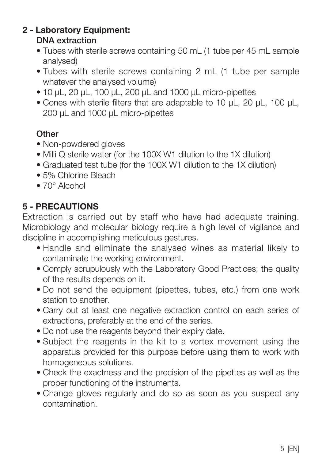#### 2 - Laboratory Equipment: DNA extraction

- Tubes with sterile screws containing 50 mL (1 tube per 45 mL sample analysed)
- Tubes with sterile screws containing 2 mL (1 tube per sample whatever the analysed volume)
- 10 µL, 20 µL, 100 µL, 200 µL and 1000 µL micro-pipettes
- Cones with sterile filters that are adaptable to 10 µL, 20 µL, 100 µL, 200 µL and 1000 µL micro-pipettes

## **Other**

- Non-powdered gloves
- Milli Q sterile water (for the 100X W1 dilution to the 1X dilution)
- Graduated test tube (for the 100X W1 dilution to the 1X dilution)
- 5% Chlorine Bleach
- 70° Alcohol

## 5 - PRECAUTIONS

Extraction is carried out by staff who have had adequate training. Microbiology and molecular biology require a high level of vigilance and discipline in accomplishing meticulous gestures.

- Handle and eliminate the analysed wines as material likely to contaminate the working environment.
- Comply scrupulously with the Laboratory Good Practices; the quality of the results depends on it.
- Do not send the equipment (pipettes, tubes, etc.) from one work station to another.
- Carry out at least one negative extraction control on each series of extractions, preferably at the end of the series.
- Do not use the reagents beyond their expiry date.
- Subject the reagents in the kit to a vortex movement using the apparatus provided for this purpose before using them to work with homogeneous solutions.
- Check the exactness and the precision of the pipettes as well as the proper functioning of the instruments.
- Change gloves regularly and do so as soon as you suspect any contamination.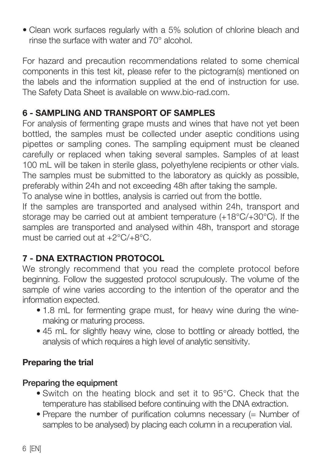• Clean work surfaces regularly with a 5% solution of chlorine bleach and rinse the surface with water and 70° alcohol.

For hazard and precaution recommendations related to some chemical components in this test kit, please refer to the pictogram(s) mentioned on the labels and the information supplied at the end of instruction for use. The Safety Data Sheet is available on www.bio-rad.com.

## 6 - SAMPLING AND TRANSPORT OF SAMPLES

For analysis of fermenting grape musts and wines that have not yet been bottled, the samples must be collected under aseptic conditions using pipettes or sampling cones. The sampling equipment must be cleaned carefully or replaced when taking several samples. Samples of at least 100 mL will be taken in sterile glass, polyethylene recipients or other vials. The samples must be submitted to the laboratory as quickly as possible, preferably within 24h and not exceeding 48h after taking the sample.

To analyse wine in bottles, analysis is carried out from the bottle.

If the samples are transported and analysed within 24h, transport and storage may be carried out at ambient temperature (+18°C/+30°C). If the samples are transported and analysed within 48h, transport and storage must be carried out at +2°C/+8°C.

## 7 - DNA EXTRACTION PROTOCOL

We strongly recommend that you read the complete protocol before beginning. Follow the suggested protocol scrupulously. The volume of the sample of wine varies according to the intention of the operator and the information expected.

- 1.8 mL for fermenting grape must, for heavy wine during the winemaking or maturing process.
- 45 mL for slightly heavy wine, close to bottling or already bottled, the analysis of which requires a high level of analytic sensitivity.

## Preparing the trial

## Preparing the equipment

- Switch on the heating block and set it to 95°C. Check that the temperature has stabilised before continuing with the DNA extraction.
- Prepare the number of purification columns necessary (= Number of samples to be analysed) by placing each column in a recuperation vial.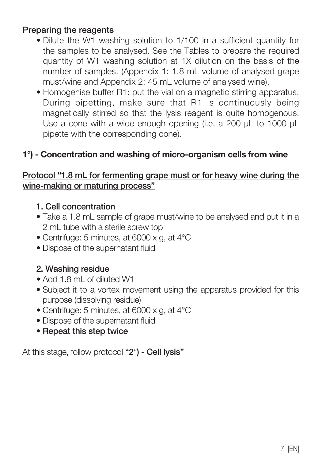#### Preparing the reagents

- Dilute the W1 washing solution to 1/100 in a sufficient quantity for the samples to be analysed. See the Tables to prepare the required quantity of W1 washing solution at 1X dilution on the basis of the number of samples. (Appendix 1: 1.8 mL volume of analysed grape must/wine and Appendix 2: 45 mL volume of analysed wine).
- Homogenise buffer R1: put the vial on a magnetic stirring apparatus. During pipetting, make sure that R1 is continuously being magnetically stirred so that the lysis reagent is quite homogenous. Use a cone with a wide enough opening (i.e. a 200 uL to 1000 uL pipette with the corresponding cone).

#### 1°) - Concentration and washing of micro-organism cells from wine

#### Protocol "1.8 mL for fermenting grape must or for heavy wine during the wine-making or maturing process"

#### 1. Cell concentration

- Take a 1.8 mL sample of grape must/wine to be analysed and put it in a 2 mL tube with a sterile screw top
- Centrifuge: 5 minutes, at 6000 x g, at 4°C
- Dispose of the supernatant fluid

#### 2. Washing residue

- Add 1.8 mL of diluted W1
- Subject it to a vortex movement using the apparatus provided for this purpose (dissolving residue)
- Centrifuge: 5 minutes, at 6000 x g, at 4°C
- Dispose of the supernatant fluid
- Repeat this step twice

At this stage, follow protocol "2°) - Cell lysis"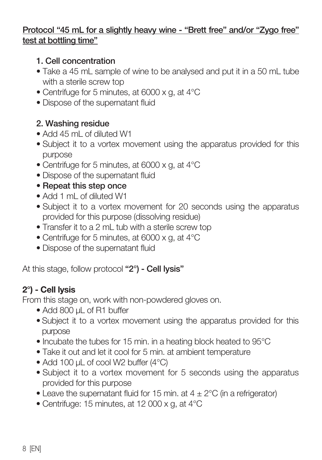#### Protocol "45 mL for a slightly heavy wine - "Brett free" and/or "Zygo free" test at bottling time"

#### 1. Cell concentration

- Take a 45 mL sample of wine to be analysed and put it in a 50 mL tube with a sterile screw top
- Centrifuge for 5 minutes, at 6000 x g, at 4°C
- Dispose of the supernatant fluid

## 2. Washing residue

- Add 45 mL of diluted W1
- Subject it to a vortex movement using the apparatus provided for this purpose
- Centrifuge for 5 minutes, at 6000 x g, at 4°C
- Dispose of the supernatant fluid
- Repeat this step once
- Add 1 mL of diluted W1
- Subject it to a vortex movement for 20 seconds using the apparatus provided for this purpose (dissolving residue)
- Transfer it to a 2 mL tub with a sterile screw top
- Centrifuge for 5 minutes, at 6000 x g, at 4°C
- Dispose of the supernatant fluid

At this stage, follow protocol "2°) - Cell Ivsis"

## 2°) - Cell lysis

From this stage on, work with non-powdered gloves on.

- Add 800 µL of R1 buffer
- Subject it to a vortex movement using the apparatus provided for this purpose
- Incubate the tubes for 15 min. in a heating block heated to 95°C
- Take it out and let it cool for 5 min. at ambient temperature
- Add 100 uL of cool W2 buffer (4°C)
- Subject it to a vortex movement for 5 seconds using the apparatus provided for this purpose
- Leave the supernatant fluid for 15 min. at  $4 \pm 2^{\circ}$ C (in a refrigerator)
- Centrifuge: 15 minutes, at 12 000 x g, at 4°C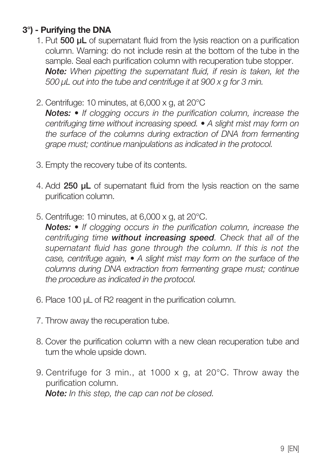## 3°) - Purifying the DNA

- 1. Put 500 µL of supernatant fluid from the lysis reaction on a purification column. Warning: do not include resin at the bottom of the tube in the sample. Seal each purification column with recuperation tube stopper.  *Note: When pipetting the supernatant fluid, if resin is taken, let the 500 µL out into the tube and centrifuge it at 900 x g for 3 min.*
- 2. Centrifuge: 10 minutes, at 6,000 x g, at 20°C

 *Notes: • If clogging occurs in the purification column, increase the centrifuging time without increasing speed. • A slight mist may form on the surface of the columns during extraction of DNA from fermenting grape must; continue manipulations as indicated in the protocol.*

- 3. Empty the recovery tube of its contents.
- 4. Add 250 uL of supernatant fluid from the lysis reaction on the same purification column.
- 5. Centrifuge: 10 minutes, at 6,000 x g, at 20°C.

 *Notes: • If clogging occurs in the purification column, increase the centrifuging time without increasing speed. Check that all of the supernatant fluid has gone through the column. If this is not the case, centrifuge again, • A slight mist may form on the surface of the columns during DNA extraction from fermenting grape must; continue the procedure as indicated in the protocol.*

- 6. Place 100 µL of R2 reagent in the purification column.
- 7. Throw away the recuperation tube.
- 8. Cover the purification column with a new clean recuperation tube and turn the whole upside down.
- 9. Centrifuge for 3 min., at 1000 x g, at 20°C. Throw away the purification column.  *Note: In this step, the cap can not be closed.*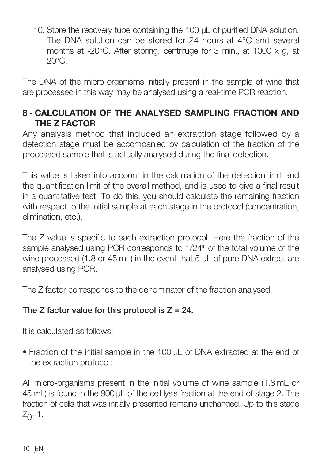10. Store the recovery tube containing the 100  $\mu$ L of purified DNA solution. The DNA solution can be stored for 24 hours at 4°C and several months at -20°C. After storing, centrifuge for 3 min., at 1000 x g, at  $20^{\circ}$ C.

The DNA of the micro-organisms initially present in the sample of wine that are processed in this way may be analysed using a real-time PCR reaction.

## 8 - CALCULATION OF THE ANALYSED SAMPLING FRACTION AND THE Z FACTOR

Any analysis method that included an extraction stage followed by a detection stage must be accompanied by calculation of the fraction of the processed sample that is actually analysed during the final detection.

This value is taken into account in the calculation of the detection limit and the quantification limit of the overall method, and is used to give a final result in a quantitative test. To do this, you should calculate the remaining fraction with respect to the initial sample at each stage in the protocol (concentration, elimination, etc.).

The Z value is specific to each extraction protocol. Here the fraction of the sample analysed using PCR corresponds to 1/24<sup>th</sup> of the total volume of the wine processed (1.8 or 45 mL) in the event that 5 uL of pure DNA extract are analysed using PCR.

The Z factor corresponds to the denominator of the fraction analysed.

## The Z factor value for this protocol is  $Z = 24$ .

It is calculated as follows:

• Fraction of the initial sample in the 100 µL of DNA extracted at the end of the extraction protocol:

All micro-organisms present in the initial volume of wine sample (1.8 mL or 45 mL) is found in the 900 µL of the cell lysis fraction at the end of stage 2. The fraction of cells that was initially presented remains unchanged. Up to this stage  $Z_0=1$ .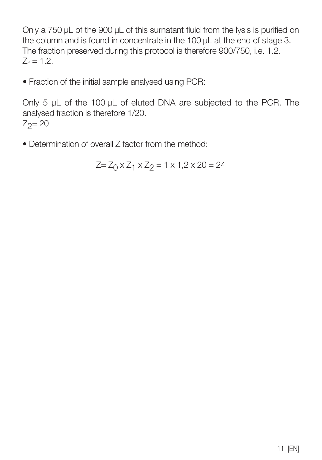Only a 750 µL of the 900 µL of this surnatant fluid from the lysis is purified on the column and is found in concentrate in the 100 µL at the end of stage 3. The fraction preserved during this protocol is therefore 900/750, i.e. 1.2.  $Z_1 = 1.2$ .

• Fraction of the initial sample analysed using PCR:

Only 5 µL of the 100 µL of eluted DNA are subjected to the PCR. The analysed fraction is therefore 1/20.  $Z_2 = 20$ 

• Determination of overall Z factor from the method:

$$
Z = Z_0 \times Z_1 \times Z_2 = 1 \times 1, 2 \times 20 = 24
$$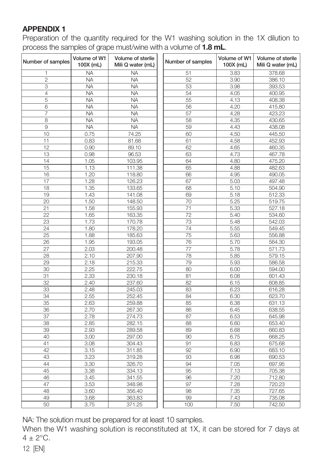#### APPENDIX 1

Preparation of the quantity required for the W1 washing solution in the 1X dilution to process the samples of grape must/wine with a volume of 1.8 mL.

| Number of samples | Volume of W1<br>100X (mL) | Volume of sterile<br>Mili Q water (mL) | Number of samples | Volume of W1<br>100X (mL) | Volume of sterile<br>Mili Q water (mL) |
|-------------------|---------------------------|----------------------------------------|-------------------|---------------------------|----------------------------------------|
| 1                 | <b>NA</b>                 | <b>NA</b>                              | 51                | 3.83                      | 378.68                                 |
| $\overline{c}$    | <b>NA</b>                 | <b>NA</b>                              | 52                | 3.90                      | 386.10                                 |
| 3                 | <b>NA</b>                 | <b>NA</b>                              | 53                | 3.98                      | 393.53                                 |
| $\overline{4}$    | <b>NA</b>                 | <b>NA</b>                              | 54                | 4.05                      | 400.95                                 |
| 5                 | <b>NA</b>                 | <b>NA</b>                              | 55                | 4.13                      | 408.38                                 |
| 6                 | <b>NA</b>                 | <b>NA</b>                              | 56                | 4.20                      | 415.80                                 |
| $\overline{7}$    | <b>NA</b>                 | <b>NA</b>                              | 57                | 4.28                      | 423.23                                 |
| 8                 | <b>NA</b>                 | <b>NA</b>                              | 58                | 4.35                      | 430.65                                 |
| 9                 | <b>NA</b>                 | <b>NA</b>                              | 59                | 4.43                      | 438.08                                 |
| 10                | 0.75                      | 74.25                                  | 60                | 4.50                      | 445.50                                 |
| 11                | 0.83                      | 81.68                                  | 61                | 4.58                      | 452.93                                 |
| 12                | 0.90                      | 89.10                                  | 62                | 4.65                      | 460.35                                 |
| 13                | 0.98                      | 96.53                                  | 63                | 4.73                      | 467.78                                 |
| 14                | 1.05                      | 103.95                                 | 64                | 4.80                      | 475.20                                 |
| 15                | 1.13                      | 111.38                                 | 65                | 4.88                      | 482.63                                 |
| 16                | 1.20                      | 118.80                                 | 66                | 4.95                      | 490.05                                 |
| 17                | 1.28                      | 126.23                                 | 67                | 5.03                      | 497.48                                 |
| 18                | 1.35                      | 133.65                                 | 68                | 5.10                      | 504.90                                 |
| 19                | 1.43                      | 141.08                                 | 69                | 5.18                      | 512.33                                 |
| 20                | 1.50                      | 148.50                                 | 70                | 5.25                      | 519.75                                 |
| 21                | 1.58                      | 155.93                                 | 71                | 5.33                      | 527.18                                 |
| $\overline{22}$   | 1.65                      | 163.35                                 | $\overline{72}$   | 5.40                      | 534.60                                 |
| 23                | 1.73                      | 170.78                                 | 73                | 5.48                      | 542.03                                 |
| 24                | 1.80                      | 178.20                                 | 74                | 5.55                      | 549.45                                 |
| 25                | 1.88                      | 185.63                                 | 75                | 5.63                      | 556.88                                 |
| 26                | 1.95                      | 193.05                                 | 76                | 5.70                      | 564.30                                 |
| 27                | 2.03                      | 200.48                                 | 77                | 5.78                      | 571.73                                 |
| 28                | 2.10                      | 207.90                                 | 78                | 5.85                      | 579.15                                 |
| 29                | 2.18                      | 215.33                                 | 79                | 5.93                      | 586.58                                 |
| 30                | 2.25                      | 222.75                                 | 80                | 6.00                      | 594.00                                 |
| 31                | 2.33                      | 230.18                                 | 81                | 6.08                      | 601.43                                 |
| 32                | 2.40                      | 237.60                                 | 82                | 6.15                      | 608.85                                 |
| 33                | 2.48                      | 245.03                                 | 83                | 6.23                      | 616.28                                 |
| 34                | 2.55                      | 252.45                                 | 84                | 6.30                      | 623.70                                 |
| 35                | 2.63                      | 259.88                                 | 85                | 6.38                      | 631.13                                 |
| 36                | 2.70                      | 267.30                                 | 86                | 6.45                      | 638.55                                 |
| 37                | 2.78                      | 274.73                                 | 87                | 6.53                      | 645.98                                 |
| 38                | 2.85                      | 282.15                                 | 88                | 6.60                      | 653.40                                 |
| 39                | 2.93                      | 289.58                                 | 89                | 6.68                      | 660.83                                 |
| 40                | 3.00                      | 297.00                                 | 90                | 6.75                      | 668.25                                 |
| 41                | 3.08                      | 304.43                                 | 91                | 6.83                      | 675.68                                 |
| 42                | 3.15                      | 311.85                                 | 92                | 6.90                      | 683.10                                 |
| 43                | 3.23                      | 319.28                                 | 93                | 6.98                      | 690.53                                 |
| 44                | 3.30                      | 326.70                                 | 94                | 7.05                      | 697.95                                 |
| 45                | 3.38                      | 334.13                                 | 95                | 7.13                      | 705.38                                 |
| 46                | 3.45                      | 341.55                                 | 96                | 7.20                      | 712.80                                 |
| 47                | 3.53                      | 348.98                                 | 97                | 7.28                      | 720.23                                 |
| 48                | 3.60                      | 356.40                                 | 98                | 7.35                      | 727.65                                 |
| 49                | 3.68                      | 363.83                                 | 99                | 7.43                      | 735.08                                 |
| 50                | 3.75                      | 371.25                                 | 100               | 7.50                      | 742.50                                 |

NA: The solution must be prepared for at least 10 samples.

When the W1 washing solution is reconstituted at 1X, it can be stored for 7 days at  $4 + 2$ °C.

12 [EN]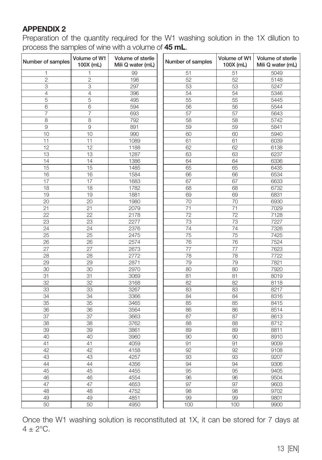#### APPENDIX 2

Preparation of the quantity required for the W1 washing solution in the 1X dilution to process the samples of wine with a volume of 45 mL.

| Number of samples | Volume of W1<br>100X (mL) | Volume of sterile<br>Mili Q water (mL) | Number of samples | Volume of W1<br>100X (mL) | Volume of sterile<br>Mili Q water (mL) |
|-------------------|---------------------------|----------------------------------------|-------------------|---------------------------|----------------------------------------|
| 1                 | 1                         | 99                                     | 51                | 51                        | 5049                                   |
| $\overline{c}$    | $\overline{c}$            | 198                                    | 52                | 52                        | 5148                                   |
| 3                 | 3                         | 297                                    | 53                | 53                        | 5247                                   |
| 4                 | 4                         | 396                                    | 54                | 54                        | 5346                                   |
| 5                 | 5                         | 495                                    | 55                | 55                        | 5445                                   |
| 6                 | 6                         | 594                                    | 56                | 56                        | 5544                                   |
| 7                 | 7                         | 693                                    | 57                | 57                        | 5643                                   |
| 8                 | 8                         | 792                                    | 58                | 58                        | 5742                                   |
| 9                 | 9                         | 891                                    | 59                | 59                        | 5841                                   |
| 10                | 10                        | 990                                    | 60                | 60                        | 5940                                   |
| 11                | 11                        | 1089                                   | 61                | 61                        | 6039                                   |
| 12                | 12                        | 1188                                   | 62                | 62                        | 6138                                   |
| 13                | 13                        | 1287                                   | 63                | 63                        | 6237                                   |
| 14                | 14                        | 1386                                   | 64                | 64                        | 6336                                   |
| 15                | 15                        | 1485                                   | 65                | 65                        | 6435                                   |
| 16                | 16                        | 1584                                   | 66                | 66                        | 6534                                   |
| 17                | 17                        | 1683                                   | 67                | 67                        | 6633                                   |
| 18                | 18                        | 1782                                   | 68                | 68                        | 6732                                   |
| 19                | 19                        | 1881                                   | 69                | 69                        | 6831                                   |
| 20                | 20                        | 1980                                   | 70                | 70                        | 6930                                   |
| 21                | 21                        | 2079                                   | 71                | 71                        | 7029                                   |
| 22                | 22                        | 2178                                   | 72                | 72                        | 7128                                   |
| 23                | 23                        | 2277                                   | 73                | 73                        | 7227                                   |
| 24                | 24                        | 2376                                   | 74                | 74                        | 7326                                   |
| 25                | 25                        | 2475                                   | 75                | 75                        | 7425                                   |
| 26                | 26                        | 2574                                   | 76                | 76                        | 7524                                   |
| 27                | 27                        | 2673                                   | 77                | 77                        | 7623                                   |
| 28                | 28                        | 2772                                   | 78                | 78                        | 7722                                   |
| 29                | 29                        | 2871                                   | 79                | 79                        | 7821                                   |
| 30                | 30                        | 2970                                   | 80                | 80                        | 7920                                   |
| 31                | 31                        | 3069                                   | 81                | 81                        | 8019                                   |
| 32                | 32                        | 3168                                   | 82                | 82                        | 8118                                   |
| 33                | 33                        | 3267                                   | 83                | 83                        | 8217                                   |
| 34                | 34                        | 3366                                   | 84                | 84                        | 8316                                   |
| 35                | 35                        | 3465                                   | 85                | 85                        | 8415                                   |
| 36                | 36                        | 3564                                   | 86                | 86                        | 8514                                   |
| 37                | 37                        | 3663                                   | 87                | 87                        | 8613                                   |
| 38                | 38                        | 3762                                   | 88                | 88                        | 8712                                   |
| 39                | 39                        | 3861                                   | 89                | 89                        | 8811                                   |
| 40                | 40                        | 3960                                   | 90                | 90                        | 8910                                   |
| 41                | 41                        | 4059                                   | 91                | 91                        | 9009                                   |
| 42                | 42                        | 4158                                   | 92                | 92                        | 9108                                   |
| 43                | 43                        | 4257                                   | 93                | 93                        | 9207                                   |
| 44                | 44                        | 4356                                   | 94                | 94                        | 9306                                   |
| 45                | 45                        | 4455                                   | 95                | 95                        | 9405                                   |
| 46                | 46                        | 4554                                   | 96                | 96                        | 9504                                   |
| 47                | 47                        | 4653                                   | 97                | 97                        | 9603                                   |
| 48                | 48                        | 4752                                   | 98                | 98                        | 9702                                   |
| 49                | 49                        | 4851                                   | 99                | 99                        | 9801                                   |
| 50                | 50                        | 4950                                   | 100               | 100                       | 9900                                   |

Once the W1 washing solution is reconstituted at 1X, it can be stored for 7 days at  $4 \pm 2$ °C.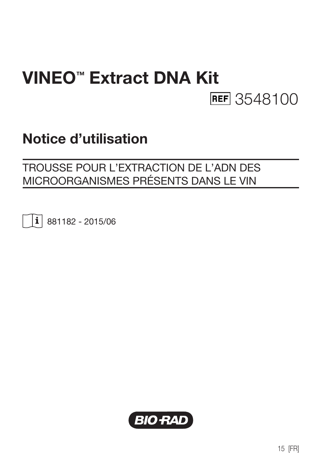# VINEO™ Extract DNA Kit **REF** 3548100

# Notice d'utilisation

## TROUSSE POUR L'EXTRACTION DE L'ADN DES MICROORGANISMES PRÉSENTS DANS LE VIN

 $\vert \mathbf{i} \vert$  881182 - 2015/06

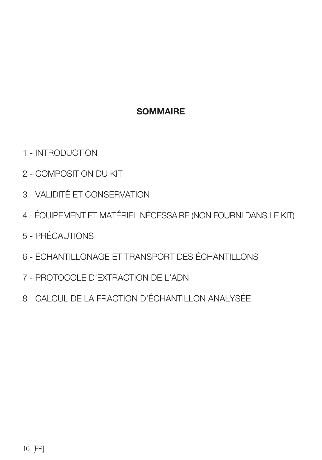#### **SOMMAIRE**

- 1 INTRODUCTION
- 2 COMPOSITION DU KIT
- 3 VALIDITÉ ET CONSERVATION
- 4 ÉQUIPEMENT ET MATÉRIEL NÉCESSAIRE (NON FOURNI DANS LE KIT)
- 5 PRÉCAUTIONS
- 6 ÉCHANTILLONAGE ET TRANSPORT DES ÉCHANTILLONS
- 7 PROTOCOLE D'EXTRACTION DE L'ADN
- 8 CALCUL DE LA FRACTION D'ÉCHANTILLON ANALYSÉE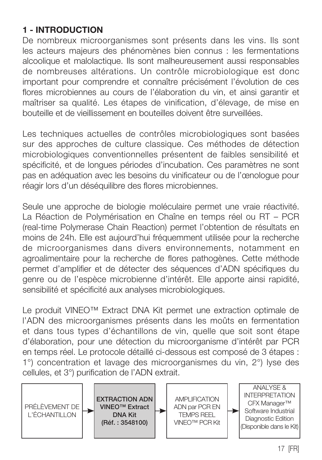## 1 - INTRODUCTION

De nombreux microorganismes sont présents dans les vins. Ils sont les acteurs majeurs des phénomènes bien connus : les fermentations alcoolique et malolactique. Ils sont malheureusement aussi responsables de nombreuses altérations. Un contrôle microbiologique est donc important pour comprendre et connaître précisément l'évolution de ces flores microbiennes au cours de l'élaboration du vin, et ainsi garantir et maîtriser sa qualité. Les étapes de vinification, d'élevage, de mise en bouteille et de vieillissement en bouteilles doivent être surveillées.

Les techniques actuelles de contrôles microbiologiques sont basées sur des approches de culture classique. Ces méthodes de détection microbiologiques conventionnelles présentent de faibles sensibilité et spécificité, et de longues périodes d'incubation. Ces paramètres ne sont pas en adéquation avec les besoins du vinificateur ou de l'œnologue pour réagir lors d'un déséquilibre des flores microbiennes.

Seule une approche de biologie moléculaire permet une vraie réactivité. La Réaction de Polymérisation en Chaîne en temps réel ou RT – PCR (real-time Polymerase Chain Reaction) permet l'obtention de résultats en moins de 24h. Elle est aujourd'hui fréquemment utilisée pour la recherche de microorganismes dans divers environnements, notamment en agroalimentaire pour la recherche de flores pathogènes. Cette méthode permet d'amplifier et de détecter des séquences d'ADN spécifiques du genre ou de l'espèce microbienne d'intérêt. Elle apporte ainsi rapidité, sensibilité et spécificité aux analyses microbiologiques.

Le produit VINEO™ Extract DNA Kit permet une extraction optimale de l'ADN des microorganismes présents dans les moûts en fermentation et dans tous types d'échantillons de vin, quelle que soit sont étape d'élaboration, pour une détection du microorganisme d'intérêt par PCR en temps réel. Le protocole détaillé ci-dessous est composé de 3 étapes : 1°) concentration et lavage des microorganismes du vin, 2°) lyse des cellules, et 3°) purification de l'ADN extrait.

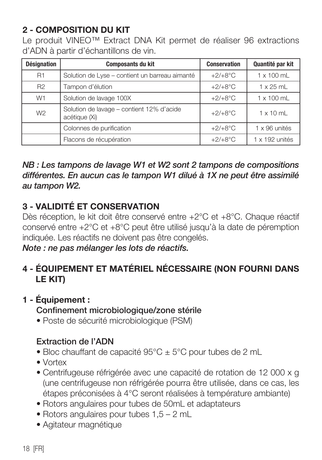## 2 - COMPOSITION DU KIT

Le produit VINEO™ Extract DNA Kit permet de réaliser 96 extractions d'ADN à partir d'échantillons de vin.

| <b>Désignation</b> | <b>Composants du kit</b>                                   | <b>Conservation</b> | Quantité par kit  |
|--------------------|------------------------------------------------------------|---------------------|-------------------|
| R1                 | Solution de Lyse - contient un barreau aimanté             | $+2/+8$ °C          | $1 \times 100$ ml |
| R <sub>2</sub>     | Tampon d'élution                                           | $+2/+8$ °C          | $1 \times 25$ ml  |
| W1                 | Solution de lavage 100X                                    | $+2/+8°C$           | 1 x 100 mL        |
| W <sub>2</sub>     | Solution de lavage - contient 12% d'acide<br>acétique (Xi) | $+2/+8$ °C          | $1 \times 10$ ml  |
|                    | Colonnes de purification                                   | $+2/+8°C$           | 1 x 96 unités     |
|                    | Flacons de récupération                                    | $+2/+8°C$           | 1 x 192 unités    |

#### *NB : Les tampons de lavage W1 et W2 sont 2 tampons de compositions différentes. En aucun cas le tampon W1 dilué à 1X ne peut être assimilé au tampon W2.*

## 3 - VALIDITÉ ET CONSERVATION

Dès réception, le kit doit être conservé entre +2°C et +8°C. Chaque réactif conservé entre +2°C et +8°C peut être utilisé jusqu'à la date de péremption indiquée. Les réactifs ne doivent pas être congelés.

*Note : ne pas mélanger les lots de réactifs.*

## 4 - ÉQUIPEMENT ET MATÉRIEL NÉCESSAIRE (NON FOURNI DANS LE KIT)

## 1 - Équipement : Confinement microbiologique/zone stérile

• Poste de sécurité microbiologique (PSM)

## Extraction de l'ADN

- Bloc chauffant de capacité  $95^{\circ}$ C  $\pm$  5°C pour tubes de 2 mL
- Vortex
- Centrifugeuse réfrigérée avec une capacité de rotation de 12 000 x g (une centrifugeuse non réfrigérée pourra être utilisée, dans ce cas, les étapes préconisées à 4°C seront réalisées à température ambiante)
- Rotors angulaires pour tubes de 50mL et adaptateurs
- Rotors angulaires pour tubes 1,5 2 mL
- Agitateur magnétique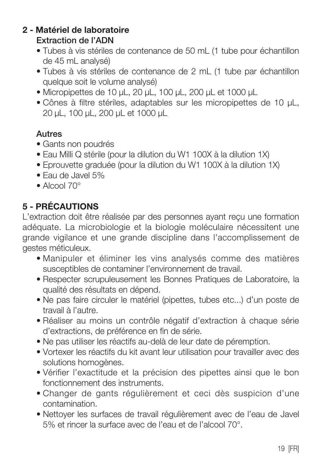#### 2 - Matériel de laboratoire Extraction de l'ADN

- Tubes à vis stériles de contenance de 50 mL (1 tube pour échantillon de 45 mL analysé)
- Tubes à vis stériles de contenance de 2 mL (1 tube par échantillon quelque soit le volume analysé)
- Micropipettes de 10 µL, 20 µL, 100 µL, 200 µL et 1000 µL
- Cônes à filtre stériles, adaptables sur les micropipettes de 10 µL, 20 µL, 100 µL, 200 µL et 1000 µL

## Autres

- Gants non poudrés
- Eau Milli Q stérile (pour la dilution du W1 100X à la dilution 1X)
- Eprouvette graduée (pour la dilution du W1 100X à la dilution 1X)
- Eau de Javel 5%
- Alcool 70°

## 5 - PRÉCAUTIONS

L'extraction doit être réalisée par des personnes ayant reçu une formation adéquate. La microbiologie et la biologie moléculaire nécessitent une grande vigilance et une grande discipline dans l'accomplissement de gestes méticuleux.

- Manipuler et éliminer les vins analysés comme des matières susceptibles de contaminer l'environnement de travail.
- Respecter scrupuleusement les Bonnes Pratiques de Laboratoire, la qualité des résultats en dépend.
- Ne pas faire circuler le matériel (pipettes, tubes etc...) d'un poste de travail à l'autre.
- Réaliser au moins un contrôle négatif d'extraction à chaque série d'extractions, de préférence en fin de série.
- Ne pas utiliser les réactifs au-delà de leur date de péremption.
- Vortexer les réactifs du kit avant leur utilisation pour travailler avec des solutions homogènes.
- Vérifier l'exactitude et la précision des pipettes ainsi que le bon fonctionnement des instruments.
- Changer de gants régulièrement et ceci dès suspicion d'une contamination.
- Nettoyer les surfaces de travail régulièrement avec de l'eau de Javel 5% et rincer la surface avec de l'eau et de l'alcool 70°.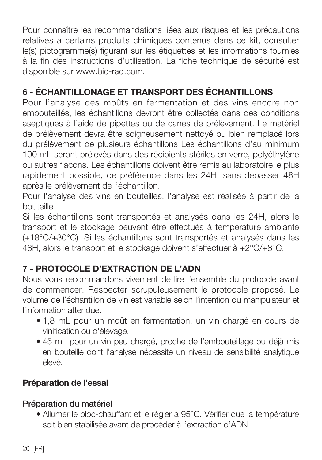Pour connaître les recommandations liées aux risques et les précautions relatives à certains produits chimiques contenus dans ce kit, consulter le(s) pictogramme(s) figurant sur les étiquettes et les informations fournies à la fin des instructions d'utilisation. La fiche technique de sécurité est disponible sur www.bio-rad.com.

## 6 - ÉCHANTILLONAGE ET TRANSPORT DES ÉCHANTILLONS

Pour l'analyse des moûts en fermentation et des vins encore non embouteillés, les échantillons devront être collectés dans des conditions aseptiques à l'aide de pipettes ou de canes de prélèvement. Le matériel de prélèvement devra être soigneusement nettoyé ou bien remplacé lors du prélèvement de plusieurs échantillons Les échantillons d'au minimum 100 mL seront prélevés dans des récipients stériles en verre, polyéthylène ou autres flacons. Les échantillons doivent être remis au laboratoire le plus rapidement possible, de préférence dans les 24H, sans dépasser 48H après le prélèvement de l'échantillon.

Pour l'analyse des vins en bouteilles, l'analyse est réalisée à partir de la bouteille.

Si les échantillons sont transportés et analysés dans les 24H, alors le transport et le stockage peuvent être effectués à température ambiante (+18°C/+30°C). Si les échantillons sont transportés et analysés dans les 48H, alors le transport et le stockage doivent s'effectuer à +2°C/+8°C.

## 7 - PROTOCOLE D'EXTRACTION DE L'ADN

Nous vous recommandons vivement de lire l'ensemble du protocole avant de commencer. Respecter scrupuleusement le protocole proposé. Le volume de l'échantillon de vin est variable selon l'intention du manipulateur et l'information attendue.

- 1,8 mL pour un moût en fermentation, un vin chargé en cours de vinification ou d'élevage.
- 45 mL pour un vin peu chargé, proche de l'embouteillage ou déjà mis en bouteille dont l'analyse nécessite un niveau de sensibilité analytique élevé.

## Préparation de l'essai

#### Préparation du matériel

• Allumer le bloc-chauffant et le régler à 95°C. Vérifier que la température soit bien stabilisée avant de procéder à l'extraction d'ADN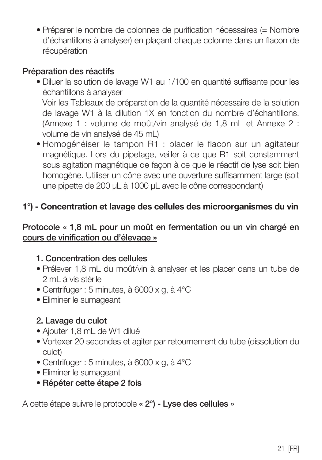• Préparer le nombre de colonnes de purification nécessaires (= Nombre d'échantillons à analyser) en plaçant chaque colonne dans un flacon de récupération

#### Préparation des réactifs

- Diluer la solution de lavage W1 au 1/100 en quantité suffisante pour les échantillons à analyser Voir les Tableaux de préparation de la quantité nécessaire de la solution de lavage W1 à la dilution 1X en fonction du nombre d'échantillons. (Annexe 1 : volume de moût/vin analysé de 1,8 mL et Annexe 2 : volume de vin analysé de 45 mL)
- Homogénéiser le tampon R1 : placer le flacon sur un agitateur magnétique. Lors du pipetage, veiller à ce que R1 soit constamment sous agitation magnétique de façon à ce que le réactif de lyse soit bien homogène. Utiliser un cône avec une ouverture suffisamment large (soit une pipette de 200 µL à 1000 µL avec le cône correspondant)

## 1°) - Concentration et lavage des cellules des microorganismes du vin

#### Protocole « 1,8 mL pour un moût en fermentation ou un vin chargé en cours de vinification ou d'élevage »

#### 1. Concentration des cellules

- Prélever 1,8 mL du moût/vin à analyser et les placer dans un tube de 2 mL à vis stérile
- Centrifuger : 5 minutes, à 6000 x g, à 4°C
- Eliminer le surnageant

#### 2. Lavage du culot

- Ajouter 1,8 mL de W1 dilué
- Vortexer 20 secondes et agiter par retournement du tube (dissolution du culot)
- Centrifuger : 5 minutes, à 6000 x g, à 4°C
- Eliminer le surnageant
- Répéter cette étape 2 fois

A cette étape suivre le protocole « 2°) - Lyse des cellules »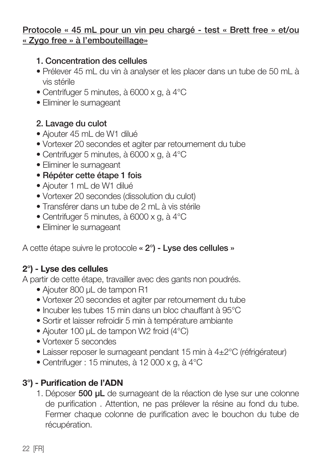#### Protocole « 45 mL pour un vin peu chargé - test « Brett free » et/ou « Zygo free » à l'embouteillage»

#### 1. Concentration des cellules

- Prélever 45 mL du vin à analyser et les placer dans un tube de 50 mL à vis stérile
- Centrifuger 5 minutes, à 6000 x g, à 4°C
- Eliminer le surnageant

#### 2. Lavage du culot

- Ajouter 45 mL de W1 dilué
- Vortexer 20 secondes et agiter par retournement du tube
- Centrifuger 5 minutes, à 6000 x g, à 4°C
- Eliminer le surnageant
- Répéter cette étape 1 fois
- Ajouter 1 mL de W1 dilué
- Vortexer 20 secondes (dissolution du culot)
- Transférer dans un tube de 2 mL à vis stérile
- Centrifuger 5 minutes, à 6000 x g, à 4°C
- Eliminer le surnageant

A cette étape suivre le protocole « 2°) - Lyse des cellules »

## 2°) - Lyse des cellules

A partir de cette étape, travailler avec des gants non poudrés.

- Ajouter 800 µL de tampon R1
- Vortexer 20 secondes et agiter par retournement du tube
- Incuber les tubes 15 min dans un bloc chauffant à 95°C
- Sortir et laisser refroidir 5 min à température ambiante
- Ajouter 100 µL de tampon W2 froid (4°C)
- Vortexer 5 secondes
- Laisser reposer le surnageant pendant 15 min à 4±2°C (réfrigérateur)
- Centrifuger : 15 minutes, à 12 000 x g, à 4°C

## 3°) - Purification de l'ADN

1. Déposer 500 µL de surnageant de la réaction de lyse sur une colonne de purification . Attention, ne pas prélever la résine au fond du tube. Fermer chaque colonne de purification avec le bouchon du tube de récupération.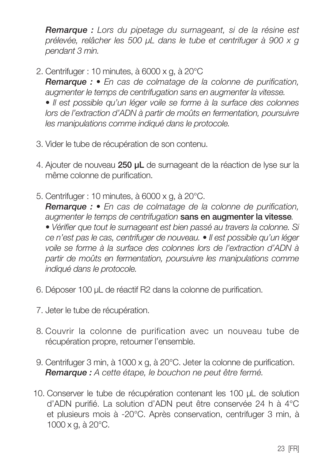*Remarque : Lors du pipetage du surnageant, si de la résine est prélevée, relâcher les 500 µL dans le tube et centrifuger à 900 x g pendant 3 min.*

2. Centrifuger : 10 minutes, à 6000 x g, à 20°C

 *Remarque : • En cas de colmatage de la colonne de purification, augmenter le temps de centrifugation sans en augmenter la vitesse.*

 *• Il est possible qu'un léger voile se forme à la surface des colonnes*  lors de l'extraction d'ADN à partir de moûts en fermentation, poursuivre *les manipulations comme indiqué dans le protocole.*

- 3. Vider le tube de récupération de son contenu.
- 4. Ajouter de nouveau 250 uL de surnageant de la réaction de lyse sur la même colonne de purification.
- 5. Centrifuger : 10 minutes, à 6000 x g, à 20°C. *Remarque : • En cas de colmatage de la colonne de purification, augmenter le temps de centrifugation* sans en augmenter la vitesse*. • Vérifier que tout le surnageant est bien passé au travers la colonne. Si ce n'est pas le cas, centrifuger de nouveau. • Il est possible qu'un léger*

*voile se forme à la surface des colonnes lors de l'extraction d'ADN à partir de moûts en fermentation, poursuivre les manipulations comme indiqué dans le protocole.*

- 6. Déposer 100 µL de réactif R2 dans la colonne de purification.
- 7. Jeter le tube de récupération.
- 8. Couvrir la colonne de purification avec un nouveau tube de récupération propre, retourner l'ensemble.
- 9. Centrifuger 3 min, à 1000 x g, à 20°C. Jeter la colonne de purification.  *Remarque : A cette étape, le bouchon ne peut être fermé.*
- 10. Conserver le tube de récupération contenant les 100 µL de solution d'ADN purifié. La solution d'ADN peut être conservée 24 h à 4°C et plusieurs mois à -20°C. Après conservation, centrifuger 3 min, à 1000 x g, à 20°C.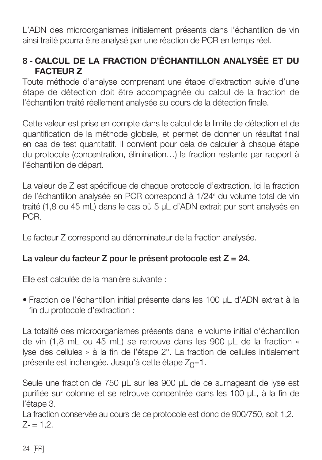L'ADN des microorganismes initialement présents dans l'échantillon de vin ainsi traité pourra être analysé par une réaction de PCR en temps réel.

## 8 - CALCUL DE LA FRACTION D'ÉCHANTILLON ANALYSÉE ET DU FACTEUR Z

Toute méthode d'analyse comprenant une étape d'extraction suivie d'une étape de détection doit être accompagnée du calcul de la fraction de l'échantillon traité réellement analysée au cours de la détection finale.

Cette valeur est prise en compte dans le calcul de la limite de détection et de quantification de la méthode globale, et permet de donner un résultat final en cas de test quantitatif. Il convient pour cela de calculer à chaque étape du protocole (concentration, élimination…) la fraction restante par rapport à l'échantillon de départ.

La valeur de Z est spécifique de chaque protocole d'extraction. Ici la fraction de l'échantillon analysée en PCR correspond à 1/24<sup>e</sup> du volume total de vin traité (1,8 ou 45 mL) dans le cas où 5 µL d'ADN extrait pur sont analysés en PCR.

Le facteur Z correspond au dénominateur de la fraction analysée.

## La valeur du facteur Z pour le présent protocole est Z = 24.

Elle est calculée de la manière suivante :

• Fraction de l'échantillon initial présente dans les 100 µL d'ADN extrait à la fin du protocole d'extraction :

La totalité des microorganismes présents dans le volume initial d'échantillon de vin (1,8 mL ou 45 mL) se retrouve dans les 900 µL de la fraction « lyse des cellules » à la fin de l'étape 2°. La fraction de cellules initialement présente est inchangée. Jusqu'à cette étape  $Z_{\Omega}=1$ .

Seule une fraction de 750 µL sur les 900 µL de ce surnageant de lyse est purifiée sur colonne et se retrouve concentrée dans les 100 µL, à la fin de l'étape 3.

La fraction conservée au cours de ce protocole est donc de 900/750, soit 1,2.  $Z_1 = 1,2.$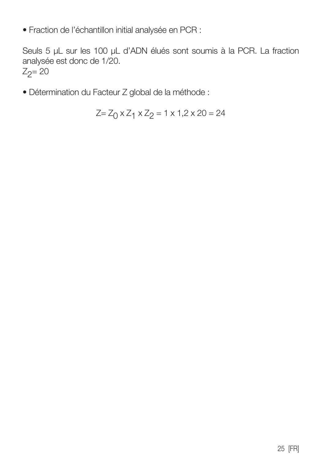• Fraction de l'échantillon initial analysée en PCR :

Seuls 5 µL sur les 100 µL d'ADN élués sont soumis à la PCR. La fraction analysée est donc de 1/20.  $Z_2 = 20$ 

• Détermination du Facteur Z global de la méthode :

$$
Z = Z_0 \times Z_1 \times Z_2 = 1 \times 1, 2 \times 20 = 24
$$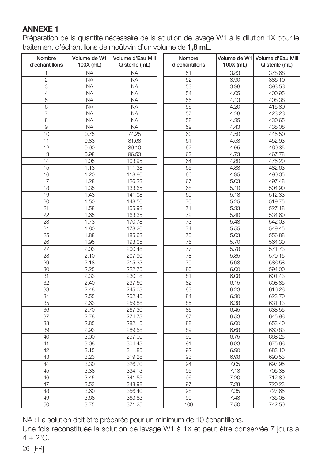#### ANNEXE 1

Préparation de la quantité nécessaire de la solution de lavage W1 à la dilution 1X pour le traitement d'échantillons de moût/vin d'un volume de 1,8 mL.

| Nombre<br>d'échantillons | Volume de W1<br>100X (mL) | Volume d'Eau Mili<br>Q stérile (mL) | Nombre<br>d'échantillons | 100X (mL) | Volume de W1 Volume d'Eau Mili<br>Q stérile (mL) |
|--------------------------|---------------------------|-------------------------------------|--------------------------|-----------|--------------------------------------------------|
| 1                        | <b>NA</b>                 | <b>NA</b>                           | 51                       | 3.83      | 378.68                                           |
| $\overline{c}$           | <b>NA</b>                 | <b>NA</b>                           | 52                       | 3.90      | 386.10                                           |
| 3                        | <b>NA</b>                 | <b>NA</b>                           | 53                       | 3.98      | 393.53                                           |
| $\overline{4}$           | <b>NA</b>                 | <b>NA</b>                           | 54                       | 4.05      | 400.95                                           |
| 5                        | <b>NA</b>                 | <b>NA</b>                           | 55                       | 4.13      | 408.38                                           |
| 6                        | <b>NA</b>                 | <b>NA</b>                           | 56                       | 4.20      | 415.80                                           |
| 7                        | <b>NA</b>                 | <b>NA</b>                           | 57                       | 4.28      | 423.23                                           |
| 8                        | <b>NA</b>                 | <b>NA</b>                           | 58                       | 4.35      | 430.65                                           |
| $\overline{9}$           | <b>NA</b>                 | <b>NA</b>                           | 59                       | 4.43      | 438.08                                           |
| 10                       | 0.75                      | 74.25                               | 60                       | 4.50      | 445.50                                           |
| 11                       | 0.83                      | 81.68                               | 61                       | 4.58      | 452.93                                           |
| 12                       | 0.90                      | 89.10                               | 62                       | 4.65      | 460.35                                           |
| 13                       | 0.98                      | 96.53                               | 63                       | 4.73      | 467.78                                           |
| 14                       | 1.05                      | 103.95                              | 64                       | 4.80      | 475.20                                           |
| 15                       | 1.13                      | 111.38                              | 65                       | 4.88      | 482.63                                           |
| 16                       | 1.20                      | 118.80                              | 66                       | 4.95      | 490.05                                           |
| 17                       | 1.28                      | 126.23                              | 67                       | 5.03      | 497.48                                           |
| 18                       | 1.35                      | 133.65                              | 68                       | 5.10      | 504.90                                           |
| 19                       | 1.43                      | 141.08                              | 69                       | 5.18      | 512.33                                           |
| 20                       | 1.50                      | 148.50                              | 70                       | 5.25      | 519.75                                           |
| 21                       | 1.58                      | 155.93                              | 71                       | 5.33      | 527.18                                           |
| 22                       | 1.65                      | 163.35                              | $\overline{72}$          | 5.40      | 534.60                                           |
| 23                       | 1.73                      | 170.78                              | 73                       | 5.48      | 542.03                                           |
| 24                       | 1.80                      | 178.20                              | 74                       | 5.55      | 549.45                                           |
| 25                       | 1.88                      | 185.63                              | 75                       | 5.63      | 556.88                                           |
| 26                       | 1.95                      | 193.05                              | 76                       | 5.70      | 564.30                                           |
| 27                       | 2.03                      | 200.48                              | 77                       | 5.78      | 571.73                                           |
| 28                       | 2.10                      | 207.90                              | 78                       | 5.85      | 579.15                                           |
| 29                       | 2.18                      | 215.33                              | 79                       | 5.93      | 586.58                                           |
| 30                       | 2.25                      | 222.75                              | 80                       | 6.00      | 594.00                                           |
| 31                       | 2.33                      | 230.18                              | 81                       | 6.08      | 601.43                                           |
| 32                       | 2.40                      | 237.60                              | 82                       | 6.15      | 608.85                                           |
| 33                       | 2.48                      | 245.03                              | 83                       | 6.23      | 616.28                                           |
| 34                       | 2.55                      | 252.45                              | 84                       | 6.30      | 623.70                                           |
| 35                       | 2.63                      | 259.88                              | 85                       | 6.38      | 631.13                                           |
| 36                       | 2.70                      | 267.30                              | 86                       | 6.45      | 638.55                                           |
| 37                       | 2.78                      | 274.73                              | 87                       | 6.53      | 645.98                                           |
| 38                       | 2.85                      | 282.15                              | 88                       | 6.60      | 653.40                                           |
| 39                       | 2.93                      | 289.58                              | 89                       | 6.68      | 660.83                                           |
| 40                       | 3.00                      | 297.00                              | 90                       | 6.75      | 668.25                                           |
| 41                       | 3.08                      | 304.43                              | 91                       | 6.83      | 675.68                                           |
| 42                       | 3.15                      | 311.85                              | 92                       | 6.90      | 683.10                                           |
| 43                       | 3.23                      | 319.28                              | 93                       | 6.98      | 690.53                                           |
| 44                       | 3.30                      | 326.70                              | 94                       | 7.05      | 697.95                                           |
| 45                       | 3.38                      | 334.13                              | 95                       | 7.13      | 705.38                                           |
| 46                       | 3.45                      | 341.55                              | 96                       | 7.20      | 712.80                                           |
| 47                       | 3.53                      | 348.98                              | 97                       | 7.28      | 720.23                                           |
| 48                       | 3.60                      | 356.40                              | 98                       | 7.35      | 727.65                                           |
| 49                       | 3.68                      | 363.83                              | 99                       | 7.43      | 735.08                                           |
| 50                       | 3.75                      | 371.25                              | 100                      | 7.50      | 742.50                                           |

NA : La solution doit être préparée pour un minimum de 10 échantillons.

Une fois reconstituée la solution de lavage W1 à 1X et peut être conservée 7 jours à  $4 + 2^{\circ}C$ .

26 [FR]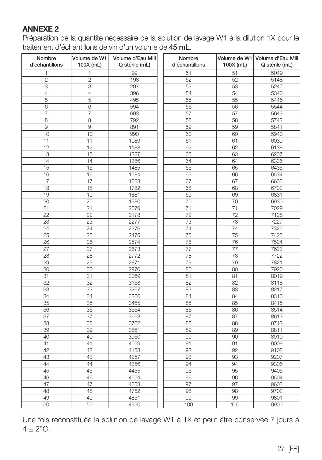#### ANNEXE 2

Préparation de la quantité nécessaire de la solution de lavage W1 à la dilution 1X pour le traitement d'échantillons de vin d'un volume de 45 mL.

| Nombre<br>d'échantillons | Volume de W1<br>100X (mL) | Volume d'Eau Mili<br>Q stérile (mL) | Nombre<br>d'échantillons | 100X (mL)       | Volume de W1   Volume d'Eau Mili<br>Q stérile (mL) |
|--------------------------|---------------------------|-------------------------------------|--------------------------|-----------------|----------------------------------------------------|
| 1                        | 1                         | 99                                  | 51                       | 51              | 5049                                               |
| $\overline{c}$           | $\overline{c}$            | 198                                 | 52                       | 52              | 5148                                               |
| 3                        | 3                         | 297                                 | 53                       | 53              | 5247                                               |
| 4                        | 4                         | 396                                 | 54                       | 54              | 5346                                               |
| 5                        | 5                         | 495                                 | 55                       | 55              | 5445                                               |
| 6                        | 6                         | 594                                 | 56                       | 56              | 5544                                               |
| 7                        | 7                         | 693                                 | 57                       | 57              | 5643                                               |
| 8                        | 8                         | 792                                 | 58                       | 58              | 5742                                               |
| 9                        | 9                         | 891                                 | 59                       | 59              | 5841                                               |
| 10                       | 10                        | 990                                 | 60                       | 60              | 5940                                               |
| 11                       | 11                        | 1089                                | 61                       | 61              | 6039                                               |
| 12                       | 12                        | 1188                                | 62                       | 62              | 6138                                               |
| 13                       | 13                        | 1287                                | 63                       | 63              | 6237                                               |
| 14                       | 14                        | 1386                                | 64                       | 64              | 6336                                               |
| 15                       | 15                        | 1485                                | 65                       | 65              | 6435                                               |
| 16                       | 16                        | 1584                                | 66                       | 66              | 6534                                               |
| 17                       | 17                        | 1683                                | 67                       | 67              | 6633                                               |
| 18                       | 18                        | 1782                                | 68                       | 68              | 6732                                               |
| 19                       | 19                        | 1881                                | 69                       | 69              | 6831                                               |
| 20                       | 20                        | 1980                                | 70                       | 70              | 6930                                               |
| 21                       | 21                        | 2079                                | 71                       | 71              | 7029                                               |
| 22                       | 22                        | 2178                                | 72                       | $\overline{72}$ | 7128                                               |
| 23                       | 23                        | 2277                                | 73                       | 73              | 7227                                               |
| 24                       | 24                        | 2376                                | 74                       | 74              | 7326                                               |
| 25                       | 25                        | 2475                                | 75                       | 75              | 7425                                               |
| 26                       | 26                        | 2574                                | 76                       | 76              | 7524                                               |
| 27                       | 27                        | 2673                                | 77                       | 77              | 7623                                               |
| 28                       | 28                        | 2772                                | 78                       | 78              | 7722                                               |
| 29                       | 29                        | 2871                                | 79                       | 79              | 7821                                               |
| 30                       | 30                        | 2970                                | 80                       | 80              | 7920                                               |
| 31                       | 31                        | 3069                                | 81                       | 81              | 8019                                               |
| 32                       | 32                        | 3168                                | 82                       | 82              | 8118                                               |
| 33                       | 33                        | 3267                                | 83                       | 83              | 8217                                               |
| 34                       | 34                        | 3366                                | 84                       | 84              | 8316                                               |
| 35                       | 35                        | 3465                                | 85                       | 85              | 8415                                               |
| 36                       | 36                        | 3564                                | 86                       | 86              | 8514                                               |
| 37                       | 37                        | 3663                                | 87                       | 87              | 8613                                               |
| 38                       | 38                        | 3762                                | 88                       | 88              | 8712                                               |
| 39                       | 39                        | 3861                                | 89                       | 89              | 8811                                               |
| 40                       | 40                        | 3960                                | 90                       | 90              | 8910                                               |
| 41                       | 41                        | 4059                                | 91                       | 91              | 9009                                               |
| 42                       | 42                        | 4158                                | 92                       | 92              | 9108                                               |
| 43                       | 43                        | 4257                                | 93                       | 93              | 9207                                               |
| 44                       | 44                        | 4356                                | 94                       | 94              | 9306                                               |
| 45                       | 45                        | 4455                                | 95                       | 95              | 9405                                               |
| 46                       | 46                        | 4554                                | 96                       | 96              | 9504                                               |
| 47                       | 47                        | 4653                                | 97                       | 97              | 9603                                               |
| 48                       | 48                        | 4752                                | 98                       | 98              | 9702                                               |
| 49                       | 49                        | 4851                                | 99                       | 99              | 9801                                               |
| 50                       | 50                        | 4950                                | 100                      | 100             | 9900                                               |
|                          |                           |                                     |                          |                 |                                                    |

Une fois reconstituée la solution de lavage W1 à 1X et peut être conservée 7 jours à  $4 \pm 2$ °C.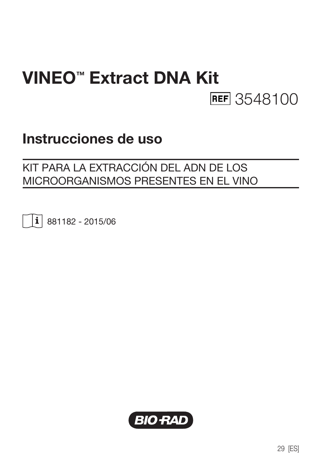# VINEO™ Extract DNA Kit **REF** 3548100

## Instrucciones de uso

## KIT PARA LA EXTRACCIÓN DEL ADN DE LOS MICROORGANISMOS PRESENTES EN EL VINO

 $\vert \mathbf{i} \vert$  881182 - 2015/06

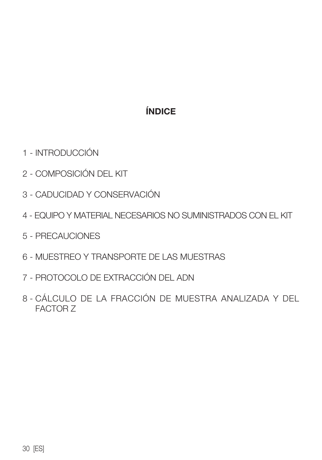## ÍNDICE

- 1 INTRODUCCIÓN
- 2 COMPOSICIÓN DEL KIT
- 3 CADUCIDAD Y CONSERVACIÓN
- 4 EQUIPO Y MATERIAL NECESARIOS NO SUMINISTRADOS CON EL KIT
- 5 PRECAUCIONES
- 6 MUESTREO Y TRANSPORTE DE LAS MUESTRAS
- 7 PROTOCOLO DE EXTRACCIÓN DEL ADN
- 8 CÁLCULO DE LA FRACCIÓN DE MUESTRA ANALIZADA Y DEL FACTOR Z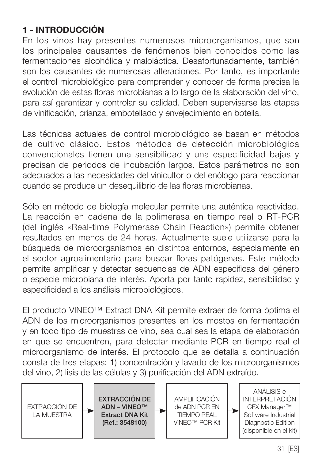## 1 - INTRODUCCIÓN

En los vinos hay presentes numerosos microorganismos, que son los principales causantes de fenómenos bien conocidos como las fermentaciones alcohólica y maloláctica. Desafortunadamente, también son los causantes de numerosas alteraciones. Por tanto, es importante el control microbiológico para comprender y conocer de forma precisa la evolución de estas floras microbianas a lo largo de la elaboración del vino, para así garantizar y controlar su calidad. Deben supervisarse las etapas de vinificación, crianza, embotellado y envejecimiento en botella.

Las técnicas actuales de control microbiológico se basan en métodos de cultivo clásico. Estos métodos de detección microbiológica convencionales tienen una sensibilidad y una especificidad bajas y precisan de periodos de incubación largos. Estos parámetros no son adecuados a las necesidades del vinicultor o del enólogo para reaccionar cuando se produce un desequilibrio de las floras microbianas.

Sólo en método de biología molecular permite una auténtica reactividad. La reacción en cadena de la polimerasa en tiempo real o RT-PCR (del inglés «Real-time Polymerase Chain Reaction») permite obtener resultados en menos de 24 horas. Actualmente suele utilizarse para la búsqueda de microorganismos en distintos entornos, especialmente en el sector agroalimentario para buscar floras patógenas. Este método permite amplificar y detectar secuencias de ADN específicas del género o especie microbiana de interés. Aporta por tanto rapidez, sensibilidad y especificidad a los análisis microbiológicos.

El producto VINEO™ Extract DNA Kit permite extraer de forma óptima el ADN de los microorganismos presentes en los mostos en fermentación y en todo tipo de muestras de vino, sea cual sea la etapa de elaboración en que se encuentren, para detectar mediante PCR en tiempo real el microorganismo de interés. El protocolo que se detalla a continuación consta de tres etapas: 1) concentración y lavado de los microorganismos del vino, 2) lisis de las células y 3) purificación del ADN extraído.

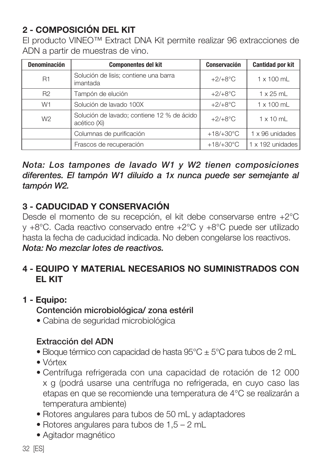## 2 - COMPOSICIÓN DEL KIT

El producto VINEO™ Extract DNA Kit permite realizar 96 extracciones de ADN a partir de muestras de vino.

| Denominación   | <b>Componentes del kit</b>                                 | Conservación        | <b>Cantidad por kit</b> |
|----------------|------------------------------------------------------------|---------------------|-------------------------|
| <b>R1</b>      | Solución de lisis; contiene una barra<br>imantada          | $+2/+8$ °C          | $1 \times 100$ ml       |
| R <sub>2</sub> | Tampón de elución                                          | $+2/+8°C$           | $1 \times 25$ ml        |
| W <sub>1</sub> | Solución de lavado 100X                                    | $+2/+8°C$           | $1 \times 100$ ml       |
| W <sub>2</sub> | Solución de lavado: contiene 12 % de ácido<br>acético (Xi) | $+2/+8$ °C          | $1 \times 10$ ml        |
|                | Columnas de purificación                                   | $+18/+30^{\circ}$ C | 1 x 96 unidades         |
|                | Frascos de recuperación                                    | $+18/+30°C$         | $1 \times 192$ unidades |

*Nota: Los tampones de lavado W1 y W2 tienen composiciones diferentes. El tampón W1 diluido a 1x nunca puede ser semejante al tampón W2.*

## 3 - CADUCIDAD Y CONSERVACIÓN

Desde el momento de su recepción, el kit debe conservarse entre +2°C y +8°C. Cada reactivo conservado entre +2°C y +8°C puede ser utilizado hasta la fecha de caducidad indicada. No deben congelarse los reactivos. *Nota: No mezclar lotes de reactivos.*

## 4 - EQUIPO Y MATERIAL NECESARIOS NO SUMINISTRADOS CON EL KIT

## 1 - Equipo: Contención microbiológica/ zona estéril

• Cabina de seguridad microbiológica

## Extracción del ADN

- Bloque térmico con capacidad de hasta  $95^{\circ}$ C  $\pm$  5°C para tubos de 2 mL
- Vórtex
- Centrífuga refrigerada con una capacidad de rotación de 12 000 x g (podrá usarse una centrífuga no refrigerada, en cuyo caso las etapas en que se recomiende una temperatura de 4°C se realizarán a temperatura ambiente)
- Rotores angulares para tubos de 50 mL y adaptadores
- Rotores angulares para tubos de 1,5 2 mL
- Agitador magnético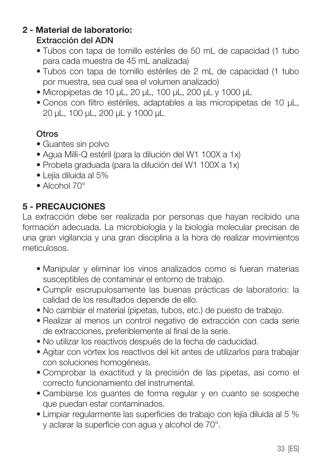#### 2 - Material de laboratorio: Extracción del ADN

- Tubos con tapa de tornillo estériles de 50 mL de capacidad (1 tubo para cada muestra de 45 mL analizada)
- Tubos con tapa de tornillo estériles de 2 mL de capacidad (1 tubo por muestra, sea cual sea el volumen analizado)
- Micropipetas de 10 µL, 20 µL, 100 µL, 200 µL y 1000 µL
- Conos con filtro estériles, adaptables a las micropipetas de 10 µL, 20 µL, 100 µL, 200 µL y 1000 µL

## **Otros**

- Guantes sin polvo
- Agua Milli-Q estéril (para la dilución del W1 100X a 1x)
- Probeta graduada (para la dilución del W1 100X a 1x)
- Lejía diluida al 5%
- Alcohol 70°

## 5 - PRECAUCIONES

La extracción debe ser realizada por personas que hayan recibido una formación adecuada. La microbiología y la biología molecular precisan de una gran vigilancia y una gran disciplina a la hora de realizar movimientos meticulosos.

- Manipular y eliminar los vinos analizados como si fueran materias susceptibles de contaminar el entorno de trabajo.
- Cumplir escrupulosamente las buenas prácticas de laboratorio: la calidad de los resultados depende de ello.
- No cambiar el material (pipetas, tubos, etc.) de puesto de trabajo.
- Realizar al menos un control negativo de extracción con cada serie de extracciones, preferiblemente al final de la serie.
- No utilizar los reactivos después de la fecha de caducidad.
- Agitar con vórtex los reactivos del kit antes de utilizarlos para trabajar con soluciones homogéneas.
- Comprobar la exactitud y la precisión de las pipetas, así como el correcto funcionamiento del instrumental.
- Cambiarse los guantes de forma regular y en cuanto se sospeche que puedan estar contaminados.
- Limpiar regularmente las superficies de trabajo con lejía diluida al 5 % y aclarar la superficie con agua y alcohol de 70°.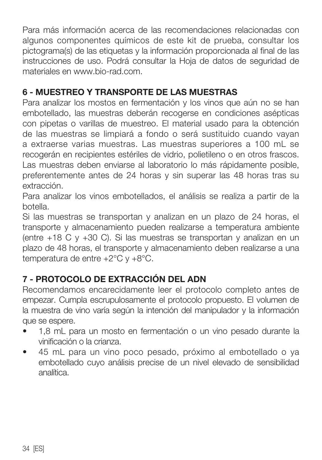Para más información acerca de las recomendaciones relacionadas con algunos componentes químicos de este kit de prueba, consultar los pictograma(s) de las etiquetas y la información proporcionada al final de las instrucciones de uso. Podrá consultar la Hoja de datos de seguridad de materiales en www.bio-rad.com.

## 6 - MUESTREO Y TRANSPORTE DE LAS MUESTRAS

Para analizar los mostos en fermentación y los vinos que aún no se han embotellado, las muestras deberán recogerse en condiciones asépticas con pipetas o varillas de muestreo. El material usado para la obtención de las muestras se limpiará a fondo o será sustituido cuando vayan a extraerse varias muestras. Las muestras superiores a 100 mL se recogerán en recipientes estériles de vidrio, polietileno o en otros frascos. Las muestras deben enviarse al laboratorio lo más rápidamente posible, preferentemente antes de 24 horas y sin superar las 48 horas tras su extracción.

Para analizar los vinos embotellados, el análisis se realiza a partir de la botella.

Si las muestras se transportan y analizan en un plazo de 24 horas, el transporte y almacenamiento pueden realizarse a temperatura ambiente (entre +18 C y +30 C). Si las muestras se transportan y analizan en un plazo de 48 horas, el transporte y almacenamiento deben realizarse a una temperatura de entre +2°C y +8°C.

## 7 - PROTOCOLO DE EXTRACCIÓN DEL ADN

Recomendamos encarecidamente leer el protocolo completo antes de empezar. Cumpla escrupulosamente el protocolo propuesto. El volumen de la muestra de vino varía según la intención del manipulador y la información que se espere.

- 1,8 mL para un mosto en fermentación o un vino pesado durante la vinificación o la crianza.
- 45 mL para un vino poco pesado, próximo al embotellado o ya embotellado cuyo análisis precise de un nivel elevado de sensibilidad analítica.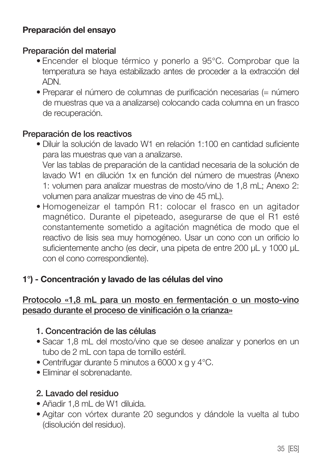#### Preparación del ensayo

#### Preparación del material

- Encender el bloque térmico y ponerlo a 95°C. Comprobar que la temperatura se haya estabilizado antes de proceder a la extracción del ADN.
- Preparar el número de columnas de purificación necesarias (= número de muestras que va a analizarse) colocando cada columna en un frasco de recuperación.

#### Preparación de los reactivos

- Diluir la solución de lavado W1 en relación 1:100 en cantidad suficiente para las muestras que van a analizarse. Ver las tablas de preparación de la cantidad necesaria de la solución de lavado W1 en dilución 1x en función del número de muestras (Anexo 1: volumen para analizar muestras de mosto/vino de 1,8 mL; Anexo 2: volumen para analizar muestras de vino de 45 mL).
- Homogeneizar el tampón R1: colocar el frasco en un agitador magnético. Durante el pipeteado, asegurarse de que el R1 esté constantemente sometido a agitación magnética de modo que el reactivo de lisis sea muy homogéneo. Usar un cono con un orificio lo suficientemente ancho (es decir, una pipeta de entre 200 µL y 1000 µL con el cono correspondiente).

#### 1°) - Concentración y lavado de las células del vino

#### Protocolo «1,8 mL para un mosto en fermentación o un mosto-vino pesado durante el proceso de vinificación o la crianza»

#### 1. Concentración de las células

- Sacar 1,8 mL del mosto/vino que se desee analizar y ponerlos en un tubo de 2 mL con tapa de tornillo estéril.
- Centrifugar durante 5 minutos a 6000 x g y 4°C.
- Eliminar el sobrenadante.

#### 2. Lavado del residuo

- Añadir 1,8 mL de W1 diluida.
- Agitar con vórtex durante 20 segundos y dándole la vuelta al tubo (disolución del residuo).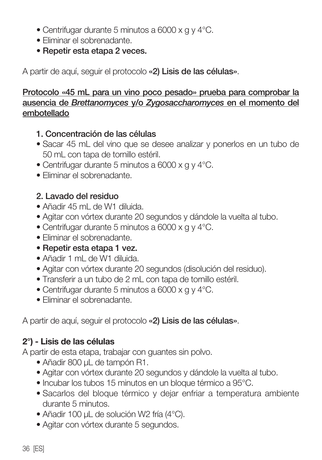- Centrifugar durante 5 minutos a 6000 x g y 4°C.
- Eliminar el sobrenadante.
- Repetir esta etapa 2 veces.

A partir de aquí, seguir el protocolo «2) Lisis de las células».

#### Protocolo «45 mL para un vino poco pesado» prueba para comprobar la ausencia de *Brettanomyces* y/o *Zygosaccharomyces* en el momento del embotellado

- 1. Concentración de las células
- Sacar 45 mL del vino que se desee analizar y ponerlos en un tubo de 50 mL con tapa de tornillo estéril.
- Centrifugar durante 5 minutos a 6000 x g y 4°C.
- Eliminar el sobrenadante.

## 2. Lavado del residuo

- Añadir 45 mL de W1 diluida.
- Agitar con vórtex durante 20 segundos y dándole la vuelta al tubo.
- Centrifugar durante 5 minutos a 6000 x g y 4°C.
- Eliminar el sobrenadante.
- Repetir esta etapa 1 vez.
- Añadir 1 mL de W1 diluida.
- Agitar con vórtex durante 20 segundos (disolución del residuo).
- Transferir a un tubo de 2 mL con tapa de tornillo estéril.
- Centrifugar durante 5 minutos a 6000 x g y 4°C.
- Eliminar el sobrenadante.

A partir de aquí, seguir el protocolo «2) Lisis de las células».

## 2°) - Lisis de las células

A partir de esta etapa, trabajar con guantes sin polvo.

- Añadir 800 µL de tampón R1.
- Agitar con vórtex durante 20 segundos y dándole la vuelta al tubo.
- Incubar los tubos 15 minutos en un bloque térmico a 95°C.
- Sacarlos del bloque térmico y dejar enfriar a temperatura ambiente durante 5 minutos.
- Añadir 100 µL de solución W2 fría (4°C).
- Agitar con vórtex durante 5 segundos.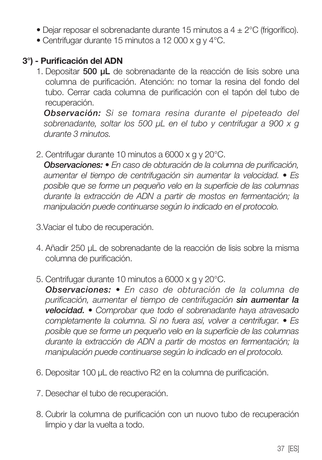- Dejar reposar el sobrenadante durante 15 minutos a  $4 \pm 2^{\circ}$ C (frigorífico).
- Centrifugar durante 15 minutos a 12 000 x g y 4°C.

#### 3°) - Purificación del ADN

1. Depositar 500 µL de sobrenadante de la reacción de lisis sobre una columna de purificación. Atención: no tomar la resina del fondo del tubo. Cerrar cada columna de purificación con el tapón del tubo de recuperación.

 *Observación: Si se tomara resina durante el pipeteado del sobrenadante, soltar los 500 µL en el tubo y centrifugar a 900 x g durante 3 minutos.* 

2. Centrifugar durante 10 minutos a 6000 x g y 20°C.

 *Observaciones: • En caso de obturación de la columna de purificación, aumentar el tiempo de centrifugación sin aumentar la velocidad. • Es posible que se forme un pequeño velo en la superficie de las columnas durante la extracción de ADN a partir de mostos en fermentación; la manipulación puede continuarse según lo indicado en el protocolo.*

- 3.Vaciar el tubo de recuperación.
- 4. Añadir 250 µL de sobrenadante de la reacción de lisis sobre la misma columna de purificación.
- 5. Centrifugar durante 10 minutos a 6000 x g y 20°C.

 *Observaciones: • En caso de obturación de la columna de purificación, aumentar el tiempo de centrifugación sin aumentar la velocidad. • Comprobar que todo el sobrenadante haya atravesado completamente la columna. Si no fuera así, volver a centrifugar. • Es posible que se forme un pequeño velo en la superficie de las columnas durante la extracción de ADN a partir de mostos en fermentación; la manipulación puede continuarse según lo indicado en el protocolo.*

- 6. Depositar 100 µL de reactivo R2 en la columna de purificación.
- 7. Desechar el tubo de recuperación.
- 8. Cubrir la columna de purificación con un nuovo tubo de recuperación limpio y dar la vuelta a todo.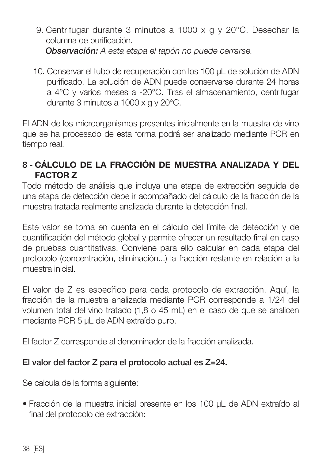- 9. Centrifugar durante 3 minutos a 1000 x g y 20°C. Desechar la columna de purificación. *Observación: A esta etapa el tapón no puede cerrarse.*
- 10. Conservar el tubo de recuperación con los 100 µL de solución de ADN purificado. La solución de ADN puede conservarse durante 24 horas a 4°C y varios meses a -20°C. Tras el almacenamiento, centrifugar durante 3 minutos a 1000 x g y 20°C.

El ADN de los microorganismos presentes inicialmente en la muestra de vino que se ha procesado de esta forma podrá ser analizado mediante PCR en tiempo real.

## 8 - CÁLCULO DE LA FRACCIÓN DE MUESTRA ANALIZADA Y DEL FACTOR Z

Todo método de análisis que incluya una etapa de extracción seguida de una etapa de detección debe ir acompañado del cálculo de la fracción de la muestra tratada realmente analizada durante la detección final.

Este valor se toma en cuenta en el cálculo del límite de detección y de cuantificación del método global y permite ofrecer un resultado final en caso de pruebas cuantitativas. Conviene para ello calcular en cada etapa del protocolo (concentración, eliminación...) la fracción restante en relación a la muestra inicial.

El valor de Z es específico para cada protocolo de extracción. Aquí, la fracción de la muestra analizada mediante PCR corresponde a 1/24 del volumen total del vino tratado (1,8 o 45 mL) en el caso de que se analicen mediante PCR 5 uL de ADN extraído puro.

El factor Z corresponde al denominador de la fracción analizada.

## El valor del factor Z para el protocolo actual es Z=24.

Se calcula de la forma siguiente:

• Fracción de la muestra inicial presente en los 100 µL de ADN extraído al final del protocolo de extracción: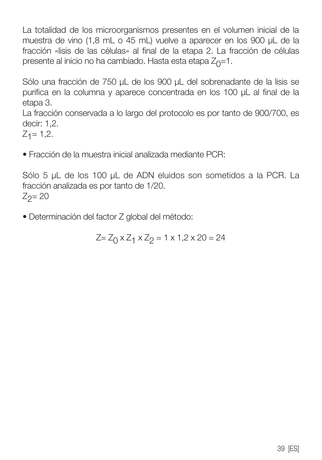La totalidad de los microorganismos presentes en el volumen inicial de la muestra de vino (1,8 mL o 45 mL) vuelve a aparecer en los 900 µL de la fracción «lisis de las células» al final de la etapa 2. La fracción de células presente al inicio no ha cambiado. Hasta esta etapa  $Z_0=1$ .

Sólo una fracción de 750 µL de los 900 µL del sobrenadante de la lisis se purifica en la columna y aparece concentrada en los 100 µL al final de la etapa 3.

La fracción conservada a lo largo del protocolo es por tanto de 900/700, es decir: 1,2.

 $Z_1 = 1,2.$ 

• Fracción de la muestra inicial analizada mediante PCR:

Sólo 5 µL de los 100 µL de ADN eluidos son sometidos a la PCR. La fracción analizada es por tanto de 1/20.  $Z_2 = 20$ 

• Determinación del factor Z global del método:

 $Z = Z_0 \times Z_1 \times Z_2 = 1 \times 1,2 \times 20 = 24$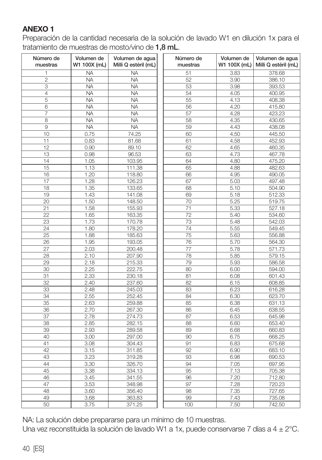#### ANEXO 1

Preparación de la cantidad necesaria de la solución de lavado W1 en dilución 1x para el tratamiento de muestras de mosto/vino de 1,8 mL.

| Número de<br>muestras | Volumen de<br>W1 100X (mL) | Volumen de agua<br>Milli Q estéril (mL) | Número de<br>muestras | Volumen de<br>W1 100X (mL) | Volumen de aqua<br>Milli Q estéril (mL) |
|-----------------------|----------------------------|-----------------------------------------|-----------------------|----------------------------|-----------------------------------------|
| 1                     | <b>NA</b>                  | <b>NA</b>                               | 51                    | 3.83                       | 378.68                                  |
| $\overline{c}$        | <b>NA</b>                  | <b>NA</b>                               | 52                    | 3.90                       | 386.10                                  |
| 3                     | <b>NA</b>                  | <b>NA</b>                               | 53                    | 3.98                       | 393.53                                  |
| $\overline{4}$        | <b>NA</b>                  | <b>NA</b>                               | 54                    | 4.05                       | 400.95                                  |
| 5                     | <b>NA</b>                  | <b>NA</b>                               | 55                    | 4.13                       | 408.38                                  |
| 6                     | <b>NA</b>                  | <b>NA</b>                               | 56                    | 4.20                       | 415.80                                  |
| 7                     | <b>NA</b>                  | <b>NA</b>                               | 57                    | 4.28                       | 423.23                                  |
| 8                     | <b>NA</b>                  | <b>NA</b>                               | 58                    | 4.35                       | 430.65                                  |
| $\overline{9}$        | <b>NA</b>                  | <b>NA</b>                               | 59                    | 4.43                       | 438.08                                  |
| 10                    | 0.75                       | 74.25                                   | 60                    | 4.50                       | 445.50                                  |
| 11                    | 0.83                       | 81.68                                   | 61                    | 4.58                       | 452.93                                  |
| $\overline{12}$       | 0.90                       | 89.10                                   | 62                    | 4.65                       | 460.35                                  |
| 13                    | 0.98                       | 96.53                                   | 63                    | 4.73                       | 467.78                                  |
| 14                    | 1.05                       | 103.95                                  | 64                    | 4.80                       | 475.20                                  |
| 15                    | 1.13                       | 111.38                                  | 65                    | 4.88                       | 482.63                                  |
| 16                    | 1.20                       | 118.80                                  | 66                    | 4.95                       | 490.05                                  |
| 17                    | 1.28                       | 126.23                                  | 67                    | 5.03                       | 497.48                                  |
| 18                    | 1.35                       | 133.65                                  | 68                    | 5.10                       | 504.90                                  |
| 19                    | 1.43                       | 141.08                                  | 69                    | 5.18                       | 512.33                                  |
| 20                    | 1.50                       | 148.50                                  | 70                    | 5.25                       | 519.75                                  |
| 21                    | 1.58                       | 155.93                                  | 71                    | 5.33                       | 527.18                                  |
| $\overline{22}$       | 1.65                       | 163.35                                  | $\overline{72}$       | 5.40                       | 534.60                                  |
| 23                    | 1.73                       | 170.78                                  | 73                    | 5.48                       | 542.03                                  |
| 24                    | 1.80                       | 178.20                                  | 74                    | 5.55                       | 549.45                                  |
| 25                    | 1.88                       | 185.63                                  | 75                    | 5.63                       | 556.88                                  |
| 26                    | 1.95                       | 193.05                                  | 76                    | 5.70                       | 564.30                                  |
| 27                    | 2.03                       | 200.48                                  | 77                    | 5.78                       | 571.73                                  |
| 28                    | 2.10                       | 207.90                                  | 78                    | 5.85                       | 579.15                                  |
| 29                    | 2.18                       | 215.33                                  | 79                    | 5.93                       | 586.58                                  |
| 30                    | 2.25                       | 222.75                                  | 80                    | 6.00                       | 594.00                                  |
| 31                    | 2.33                       | 230.18                                  | 81                    | 6.08                       | 601.43                                  |
| 32                    | 2.40                       | 237.60                                  | 82                    | 6.15                       | 608.85                                  |
| 33                    | 2.48                       | 245.03                                  | 83                    | 6.23                       | 616.28                                  |
| 34                    | 2.55                       | 252.45                                  | 84                    | 6.30                       | 623.70                                  |
| 35                    | 2.63                       | 259.88                                  | 85                    | 6.38                       | 631.13                                  |
| 36                    | 2.70                       | 267.30                                  | 86                    | 6.45                       | 638.55                                  |
| 37                    | 2.78                       | 274.73                                  | 87                    | 6.53                       | 645.98                                  |
| 38                    | 2.85                       | 282.15                                  | 88                    | 6.60                       | 653.40                                  |
| 39                    | 2.93                       | 289.58                                  | 89                    | 6.68                       | 660.83                                  |
| 40                    | 3.00                       | 297.00                                  | 90                    | 6.75                       | 668.25                                  |
| 41                    | 3.08                       | 304.43                                  | 91                    | 6.83                       | 675.68                                  |
| 42                    | 3.15                       | 311.85                                  | 92                    | 6.90                       | 683.10                                  |
| 43                    | 3.23                       | 319.28                                  | 93                    | 6.98                       | 690.53                                  |
| 44                    | 3.30                       | 326.70                                  | 94                    | 7.05                       | 697.95                                  |
| 45                    | 3.38                       | 334.13                                  | 95                    | 7.13                       | 705.38                                  |
| 46                    | 3.45                       | 341.55                                  | 96                    | 7.20                       | 712.80                                  |
| 47                    | 3.53                       | 348.98                                  | 97                    | 7.28                       | 720.23                                  |
| 48                    | 3.60                       | 356.40                                  | 98                    | 7.35                       | 727.65                                  |
| 49                    | 3.68                       | 363.83                                  | 99                    | 7.43                       | 735.08                                  |
| 50                    | 3.75                       |                                         | 100                   | 7.50                       | 742.50                                  |
|                       |                            | 371.25                                  |                       |                            |                                         |

NA: La solución debe prepararse para un mínimo de 10 muestras. Una vez reconstituida la solución de lavado W1 a 1x, puede conservarse 7 días a 4 ± 2°C.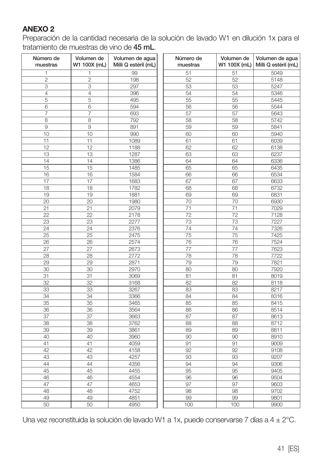#### ANEXO 2

Preparación de la cantidad necesaria de la solución de lavado W1 en dilución 1x para el tratamiento de muestras de vino de 45 mL.

| 99<br>5049<br>1<br>1<br>51<br>51<br>$\overline{c}$<br>$\overline{c}$<br>198<br>52<br>52<br>5148<br>3<br>297<br>3<br>53<br>53<br>5247<br>4<br>4<br>54<br>54<br>396<br>5346<br>5<br>5<br>495<br>5445<br>55<br>55<br>6<br>5544<br>6<br>594<br>56<br>56<br>$\overline{7}$<br>7<br>693<br>57<br>57<br>5643<br>8<br>8<br>792<br>58<br>58<br>5742<br>$\overline{9}$<br>9<br>59<br>59<br>891<br>5841<br>10<br>10<br>990<br>60<br>60<br>5940<br>11<br>11<br>1089<br>61<br>61<br>6039<br>12<br>12<br>1188<br>62<br>62<br>6138<br>1287<br>6237<br>13<br>13<br>63<br>63<br>14<br>14<br>1386<br>64<br>64<br>6336<br>15<br>15<br>1485<br>65<br>65<br>6435<br>16<br>66<br>16<br>1584<br>66<br>6534<br>17<br>17<br>1683<br>67<br>67<br>6633<br>18<br>18<br>1782<br>68<br>68<br>6732<br>19<br>19<br>1881<br>69<br>69<br>6831<br>20<br>20<br>1980<br>70<br>70<br>6930<br>21<br>21<br>2079<br>71<br>71<br>7029<br>22<br>22<br>72<br>72<br>2178<br>7128<br>23<br>23<br>2277<br>73<br>73<br>7227<br>7326<br>24<br>24<br>2376<br>74<br>74<br>$\overline{75}$<br>25<br>25<br>75<br>7425<br>2475<br>76<br>7524<br>26<br>26<br>2574<br>76<br>27<br>27<br>2673<br>77<br>77<br>7623<br>28<br>28<br>2772<br>78<br>78<br>7722<br>29<br>29<br>7821<br>2871<br>79<br>79<br>30<br>30<br>2970<br>80<br>80<br>7920<br>31<br>31<br>3069<br>81<br>81<br>8019<br>32<br>32<br>3168<br>82<br>82<br>8118<br>33<br>33<br>3267<br>83<br>83<br>8217<br>84<br>34<br>34<br>3366<br>84<br>8316<br>35<br>85<br>35<br>3465<br>85<br>8415<br>3564<br>36<br>36<br>86<br>86<br>8514<br>37<br>87<br>87<br>37<br>3663<br>8613<br>3762<br>8712<br>38<br>38<br>88<br>88<br>39<br>39<br>3861<br>89<br>89<br>8811<br>40<br>40<br>3960<br>90<br>90<br>8910<br>41<br>41<br>4059<br>91<br>91<br>9009<br>42<br>92<br>92<br>42<br>4158<br>9108<br>43<br>43<br>4257<br>93<br>93<br>9207<br>44<br>44<br>4356<br>94<br>94<br>9306<br>45<br>4455<br>95<br>9405<br>45<br>95<br>46<br>46<br>4554<br>9504<br>96<br>96<br>47<br>47<br>4653<br>97<br>97<br>9603<br>48<br>48<br>4752<br>98<br>98<br>9702<br>49<br>49<br>4851<br>99<br>99<br>9801<br>50<br>50<br>100<br>100<br>4950<br>9900 | Número de<br>muestras | Volumen de<br>W1 100X (mL) | Volumen de agua<br>Milli Q estéril (mL) | Número de<br>muestras | Volumen de<br>W1 100X (mL) | Volumen de agua<br>Milli Q estéril (mL) |
|--------------------------------------------------------------------------------------------------------------------------------------------------------------------------------------------------------------------------------------------------------------------------------------------------------------------------------------------------------------------------------------------------------------------------------------------------------------------------------------------------------------------------------------------------------------------------------------------------------------------------------------------------------------------------------------------------------------------------------------------------------------------------------------------------------------------------------------------------------------------------------------------------------------------------------------------------------------------------------------------------------------------------------------------------------------------------------------------------------------------------------------------------------------------------------------------------------------------------------------------------------------------------------------------------------------------------------------------------------------------------------------------------------------------------------------------------------------------------------------------------------------------------------------------------------------------------------------------------------------------------------------------------------------------------------------------------------------------------------------------------------------------------------------------------------------------------------------------------------------------------------------------------------------------------------------------------------------------------------------------------------------------------------------------------------------------------------------------------------------------|-----------------------|----------------------------|-----------------------------------------|-----------------------|----------------------------|-----------------------------------------|
|                                                                                                                                                                                                                                                                                                                                                                                                                                                                                                                                                                                                                                                                                                                                                                                                                                                                                                                                                                                                                                                                                                                                                                                                                                                                                                                                                                                                                                                                                                                                                                                                                                                                                                                                                                                                                                                                                                                                                                                                                                                                                                                    |                       |                            |                                         |                       |                            |                                         |
|                                                                                                                                                                                                                                                                                                                                                                                                                                                                                                                                                                                                                                                                                                                                                                                                                                                                                                                                                                                                                                                                                                                                                                                                                                                                                                                                                                                                                                                                                                                                                                                                                                                                                                                                                                                                                                                                                                                                                                                                                                                                                                                    |                       |                            |                                         |                       |                            |                                         |
|                                                                                                                                                                                                                                                                                                                                                                                                                                                                                                                                                                                                                                                                                                                                                                                                                                                                                                                                                                                                                                                                                                                                                                                                                                                                                                                                                                                                                                                                                                                                                                                                                                                                                                                                                                                                                                                                                                                                                                                                                                                                                                                    |                       |                            |                                         |                       |                            |                                         |
|                                                                                                                                                                                                                                                                                                                                                                                                                                                                                                                                                                                                                                                                                                                                                                                                                                                                                                                                                                                                                                                                                                                                                                                                                                                                                                                                                                                                                                                                                                                                                                                                                                                                                                                                                                                                                                                                                                                                                                                                                                                                                                                    |                       |                            |                                         |                       |                            |                                         |
|                                                                                                                                                                                                                                                                                                                                                                                                                                                                                                                                                                                                                                                                                                                                                                                                                                                                                                                                                                                                                                                                                                                                                                                                                                                                                                                                                                                                                                                                                                                                                                                                                                                                                                                                                                                                                                                                                                                                                                                                                                                                                                                    |                       |                            |                                         |                       |                            |                                         |
|                                                                                                                                                                                                                                                                                                                                                                                                                                                                                                                                                                                                                                                                                                                                                                                                                                                                                                                                                                                                                                                                                                                                                                                                                                                                                                                                                                                                                                                                                                                                                                                                                                                                                                                                                                                                                                                                                                                                                                                                                                                                                                                    |                       |                            |                                         |                       |                            |                                         |
|                                                                                                                                                                                                                                                                                                                                                                                                                                                                                                                                                                                                                                                                                                                                                                                                                                                                                                                                                                                                                                                                                                                                                                                                                                                                                                                                                                                                                                                                                                                                                                                                                                                                                                                                                                                                                                                                                                                                                                                                                                                                                                                    |                       |                            |                                         |                       |                            |                                         |
|                                                                                                                                                                                                                                                                                                                                                                                                                                                                                                                                                                                                                                                                                                                                                                                                                                                                                                                                                                                                                                                                                                                                                                                                                                                                                                                                                                                                                                                                                                                                                                                                                                                                                                                                                                                                                                                                                                                                                                                                                                                                                                                    |                       |                            |                                         |                       |                            |                                         |
|                                                                                                                                                                                                                                                                                                                                                                                                                                                                                                                                                                                                                                                                                                                                                                                                                                                                                                                                                                                                                                                                                                                                                                                                                                                                                                                                                                                                                                                                                                                                                                                                                                                                                                                                                                                                                                                                                                                                                                                                                                                                                                                    |                       |                            |                                         |                       |                            |                                         |
|                                                                                                                                                                                                                                                                                                                                                                                                                                                                                                                                                                                                                                                                                                                                                                                                                                                                                                                                                                                                                                                                                                                                                                                                                                                                                                                                                                                                                                                                                                                                                                                                                                                                                                                                                                                                                                                                                                                                                                                                                                                                                                                    |                       |                            |                                         |                       |                            |                                         |
|                                                                                                                                                                                                                                                                                                                                                                                                                                                                                                                                                                                                                                                                                                                                                                                                                                                                                                                                                                                                                                                                                                                                                                                                                                                                                                                                                                                                                                                                                                                                                                                                                                                                                                                                                                                                                                                                                                                                                                                                                                                                                                                    |                       |                            |                                         |                       |                            |                                         |
|                                                                                                                                                                                                                                                                                                                                                                                                                                                                                                                                                                                                                                                                                                                                                                                                                                                                                                                                                                                                                                                                                                                                                                                                                                                                                                                                                                                                                                                                                                                                                                                                                                                                                                                                                                                                                                                                                                                                                                                                                                                                                                                    |                       |                            |                                         |                       |                            |                                         |
|                                                                                                                                                                                                                                                                                                                                                                                                                                                                                                                                                                                                                                                                                                                                                                                                                                                                                                                                                                                                                                                                                                                                                                                                                                                                                                                                                                                                                                                                                                                                                                                                                                                                                                                                                                                                                                                                                                                                                                                                                                                                                                                    |                       |                            |                                         |                       |                            |                                         |
|                                                                                                                                                                                                                                                                                                                                                                                                                                                                                                                                                                                                                                                                                                                                                                                                                                                                                                                                                                                                                                                                                                                                                                                                                                                                                                                                                                                                                                                                                                                                                                                                                                                                                                                                                                                                                                                                                                                                                                                                                                                                                                                    |                       |                            |                                         |                       |                            |                                         |
|                                                                                                                                                                                                                                                                                                                                                                                                                                                                                                                                                                                                                                                                                                                                                                                                                                                                                                                                                                                                                                                                                                                                                                                                                                                                                                                                                                                                                                                                                                                                                                                                                                                                                                                                                                                                                                                                                                                                                                                                                                                                                                                    |                       |                            |                                         |                       |                            |                                         |
|                                                                                                                                                                                                                                                                                                                                                                                                                                                                                                                                                                                                                                                                                                                                                                                                                                                                                                                                                                                                                                                                                                                                                                                                                                                                                                                                                                                                                                                                                                                                                                                                                                                                                                                                                                                                                                                                                                                                                                                                                                                                                                                    |                       |                            |                                         |                       |                            |                                         |
|                                                                                                                                                                                                                                                                                                                                                                                                                                                                                                                                                                                                                                                                                                                                                                                                                                                                                                                                                                                                                                                                                                                                                                                                                                                                                                                                                                                                                                                                                                                                                                                                                                                                                                                                                                                                                                                                                                                                                                                                                                                                                                                    |                       |                            |                                         |                       |                            |                                         |
|                                                                                                                                                                                                                                                                                                                                                                                                                                                                                                                                                                                                                                                                                                                                                                                                                                                                                                                                                                                                                                                                                                                                                                                                                                                                                                                                                                                                                                                                                                                                                                                                                                                                                                                                                                                                                                                                                                                                                                                                                                                                                                                    |                       |                            |                                         |                       |                            |                                         |
|                                                                                                                                                                                                                                                                                                                                                                                                                                                                                                                                                                                                                                                                                                                                                                                                                                                                                                                                                                                                                                                                                                                                                                                                                                                                                                                                                                                                                                                                                                                                                                                                                                                                                                                                                                                                                                                                                                                                                                                                                                                                                                                    |                       |                            |                                         |                       |                            |                                         |
|                                                                                                                                                                                                                                                                                                                                                                                                                                                                                                                                                                                                                                                                                                                                                                                                                                                                                                                                                                                                                                                                                                                                                                                                                                                                                                                                                                                                                                                                                                                                                                                                                                                                                                                                                                                                                                                                                                                                                                                                                                                                                                                    |                       |                            |                                         |                       |                            |                                         |
|                                                                                                                                                                                                                                                                                                                                                                                                                                                                                                                                                                                                                                                                                                                                                                                                                                                                                                                                                                                                                                                                                                                                                                                                                                                                                                                                                                                                                                                                                                                                                                                                                                                                                                                                                                                                                                                                                                                                                                                                                                                                                                                    |                       |                            |                                         |                       |                            |                                         |
|                                                                                                                                                                                                                                                                                                                                                                                                                                                                                                                                                                                                                                                                                                                                                                                                                                                                                                                                                                                                                                                                                                                                                                                                                                                                                                                                                                                                                                                                                                                                                                                                                                                                                                                                                                                                                                                                                                                                                                                                                                                                                                                    |                       |                            |                                         |                       |                            |                                         |
|                                                                                                                                                                                                                                                                                                                                                                                                                                                                                                                                                                                                                                                                                                                                                                                                                                                                                                                                                                                                                                                                                                                                                                                                                                                                                                                                                                                                                                                                                                                                                                                                                                                                                                                                                                                                                                                                                                                                                                                                                                                                                                                    |                       |                            |                                         |                       |                            |                                         |
|                                                                                                                                                                                                                                                                                                                                                                                                                                                                                                                                                                                                                                                                                                                                                                                                                                                                                                                                                                                                                                                                                                                                                                                                                                                                                                                                                                                                                                                                                                                                                                                                                                                                                                                                                                                                                                                                                                                                                                                                                                                                                                                    |                       |                            |                                         |                       |                            |                                         |
|                                                                                                                                                                                                                                                                                                                                                                                                                                                                                                                                                                                                                                                                                                                                                                                                                                                                                                                                                                                                                                                                                                                                                                                                                                                                                                                                                                                                                                                                                                                                                                                                                                                                                                                                                                                                                                                                                                                                                                                                                                                                                                                    |                       |                            |                                         |                       |                            |                                         |
|                                                                                                                                                                                                                                                                                                                                                                                                                                                                                                                                                                                                                                                                                                                                                                                                                                                                                                                                                                                                                                                                                                                                                                                                                                                                                                                                                                                                                                                                                                                                                                                                                                                                                                                                                                                                                                                                                                                                                                                                                                                                                                                    |                       |                            |                                         |                       |                            |                                         |
|                                                                                                                                                                                                                                                                                                                                                                                                                                                                                                                                                                                                                                                                                                                                                                                                                                                                                                                                                                                                                                                                                                                                                                                                                                                                                                                                                                                                                                                                                                                                                                                                                                                                                                                                                                                                                                                                                                                                                                                                                                                                                                                    |                       |                            |                                         |                       |                            |                                         |
|                                                                                                                                                                                                                                                                                                                                                                                                                                                                                                                                                                                                                                                                                                                                                                                                                                                                                                                                                                                                                                                                                                                                                                                                                                                                                                                                                                                                                                                                                                                                                                                                                                                                                                                                                                                                                                                                                                                                                                                                                                                                                                                    |                       |                            |                                         |                       |                            |                                         |
|                                                                                                                                                                                                                                                                                                                                                                                                                                                                                                                                                                                                                                                                                                                                                                                                                                                                                                                                                                                                                                                                                                                                                                                                                                                                                                                                                                                                                                                                                                                                                                                                                                                                                                                                                                                                                                                                                                                                                                                                                                                                                                                    |                       |                            |                                         |                       |                            |                                         |
|                                                                                                                                                                                                                                                                                                                                                                                                                                                                                                                                                                                                                                                                                                                                                                                                                                                                                                                                                                                                                                                                                                                                                                                                                                                                                                                                                                                                                                                                                                                                                                                                                                                                                                                                                                                                                                                                                                                                                                                                                                                                                                                    |                       |                            |                                         |                       |                            |                                         |
|                                                                                                                                                                                                                                                                                                                                                                                                                                                                                                                                                                                                                                                                                                                                                                                                                                                                                                                                                                                                                                                                                                                                                                                                                                                                                                                                                                                                                                                                                                                                                                                                                                                                                                                                                                                                                                                                                                                                                                                                                                                                                                                    |                       |                            |                                         |                       |                            |                                         |
|                                                                                                                                                                                                                                                                                                                                                                                                                                                                                                                                                                                                                                                                                                                                                                                                                                                                                                                                                                                                                                                                                                                                                                                                                                                                                                                                                                                                                                                                                                                                                                                                                                                                                                                                                                                                                                                                                                                                                                                                                                                                                                                    |                       |                            |                                         |                       |                            |                                         |
|                                                                                                                                                                                                                                                                                                                                                                                                                                                                                                                                                                                                                                                                                                                                                                                                                                                                                                                                                                                                                                                                                                                                                                                                                                                                                                                                                                                                                                                                                                                                                                                                                                                                                                                                                                                                                                                                                                                                                                                                                                                                                                                    |                       |                            |                                         |                       |                            |                                         |
|                                                                                                                                                                                                                                                                                                                                                                                                                                                                                                                                                                                                                                                                                                                                                                                                                                                                                                                                                                                                                                                                                                                                                                                                                                                                                                                                                                                                                                                                                                                                                                                                                                                                                                                                                                                                                                                                                                                                                                                                                                                                                                                    |                       |                            |                                         |                       |                            |                                         |
|                                                                                                                                                                                                                                                                                                                                                                                                                                                                                                                                                                                                                                                                                                                                                                                                                                                                                                                                                                                                                                                                                                                                                                                                                                                                                                                                                                                                                                                                                                                                                                                                                                                                                                                                                                                                                                                                                                                                                                                                                                                                                                                    |                       |                            |                                         |                       |                            |                                         |
|                                                                                                                                                                                                                                                                                                                                                                                                                                                                                                                                                                                                                                                                                                                                                                                                                                                                                                                                                                                                                                                                                                                                                                                                                                                                                                                                                                                                                                                                                                                                                                                                                                                                                                                                                                                                                                                                                                                                                                                                                                                                                                                    |                       |                            |                                         |                       |                            |                                         |
|                                                                                                                                                                                                                                                                                                                                                                                                                                                                                                                                                                                                                                                                                                                                                                                                                                                                                                                                                                                                                                                                                                                                                                                                                                                                                                                                                                                                                                                                                                                                                                                                                                                                                                                                                                                                                                                                                                                                                                                                                                                                                                                    |                       |                            |                                         |                       |                            |                                         |
|                                                                                                                                                                                                                                                                                                                                                                                                                                                                                                                                                                                                                                                                                                                                                                                                                                                                                                                                                                                                                                                                                                                                                                                                                                                                                                                                                                                                                                                                                                                                                                                                                                                                                                                                                                                                                                                                                                                                                                                                                                                                                                                    |                       |                            |                                         |                       |                            |                                         |
|                                                                                                                                                                                                                                                                                                                                                                                                                                                                                                                                                                                                                                                                                                                                                                                                                                                                                                                                                                                                                                                                                                                                                                                                                                                                                                                                                                                                                                                                                                                                                                                                                                                                                                                                                                                                                                                                                                                                                                                                                                                                                                                    |                       |                            |                                         |                       |                            |                                         |
|                                                                                                                                                                                                                                                                                                                                                                                                                                                                                                                                                                                                                                                                                                                                                                                                                                                                                                                                                                                                                                                                                                                                                                                                                                                                                                                                                                                                                                                                                                                                                                                                                                                                                                                                                                                                                                                                                                                                                                                                                                                                                                                    |                       |                            |                                         |                       |                            |                                         |
|                                                                                                                                                                                                                                                                                                                                                                                                                                                                                                                                                                                                                                                                                                                                                                                                                                                                                                                                                                                                                                                                                                                                                                                                                                                                                                                                                                                                                                                                                                                                                                                                                                                                                                                                                                                                                                                                                                                                                                                                                                                                                                                    |                       |                            |                                         |                       |                            |                                         |
|                                                                                                                                                                                                                                                                                                                                                                                                                                                                                                                                                                                                                                                                                                                                                                                                                                                                                                                                                                                                                                                                                                                                                                                                                                                                                                                                                                                                                                                                                                                                                                                                                                                                                                                                                                                                                                                                                                                                                                                                                                                                                                                    |                       |                            |                                         |                       |                            |                                         |
|                                                                                                                                                                                                                                                                                                                                                                                                                                                                                                                                                                                                                                                                                                                                                                                                                                                                                                                                                                                                                                                                                                                                                                                                                                                                                                                                                                                                                                                                                                                                                                                                                                                                                                                                                                                                                                                                                                                                                                                                                                                                                                                    |                       |                            |                                         |                       |                            |                                         |
|                                                                                                                                                                                                                                                                                                                                                                                                                                                                                                                                                                                                                                                                                                                                                                                                                                                                                                                                                                                                                                                                                                                                                                                                                                                                                                                                                                                                                                                                                                                                                                                                                                                                                                                                                                                                                                                                                                                                                                                                                                                                                                                    |                       |                            |                                         |                       |                            |                                         |
|                                                                                                                                                                                                                                                                                                                                                                                                                                                                                                                                                                                                                                                                                                                                                                                                                                                                                                                                                                                                                                                                                                                                                                                                                                                                                                                                                                                                                                                                                                                                                                                                                                                                                                                                                                                                                                                                                                                                                                                                                                                                                                                    |                       |                            |                                         |                       |                            |                                         |
|                                                                                                                                                                                                                                                                                                                                                                                                                                                                                                                                                                                                                                                                                                                                                                                                                                                                                                                                                                                                                                                                                                                                                                                                                                                                                                                                                                                                                                                                                                                                                                                                                                                                                                                                                                                                                                                                                                                                                                                                                                                                                                                    |                       |                            |                                         |                       |                            |                                         |
|                                                                                                                                                                                                                                                                                                                                                                                                                                                                                                                                                                                                                                                                                                                                                                                                                                                                                                                                                                                                                                                                                                                                                                                                                                                                                                                                                                                                                                                                                                                                                                                                                                                                                                                                                                                                                                                                                                                                                                                                                                                                                                                    |                       |                            |                                         |                       |                            |                                         |
|                                                                                                                                                                                                                                                                                                                                                                                                                                                                                                                                                                                                                                                                                                                                                                                                                                                                                                                                                                                                                                                                                                                                                                                                                                                                                                                                                                                                                                                                                                                                                                                                                                                                                                                                                                                                                                                                                                                                                                                                                                                                                                                    |                       |                            |                                         |                       |                            |                                         |
|                                                                                                                                                                                                                                                                                                                                                                                                                                                                                                                                                                                                                                                                                                                                                                                                                                                                                                                                                                                                                                                                                                                                                                                                                                                                                                                                                                                                                                                                                                                                                                                                                                                                                                                                                                                                                                                                                                                                                                                                                                                                                                                    |                       |                            |                                         |                       |                            |                                         |
|                                                                                                                                                                                                                                                                                                                                                                                                                                                                                                                                                                                                                                                                                                                                                                                                                                                                                                                                                                                                                                                                                                                                                                                                                                                                                                                                                                                                                                                                                                                                                                                                                                                                                                                                                                                                                                                                                                                                                                                                                                                                                                                    |                       |                            |                                         |                       |                            |                                         |

Una vez reconstituida la solución de lavado W1 a 1x, puede conservarse 7 días a 4 ± 2°C.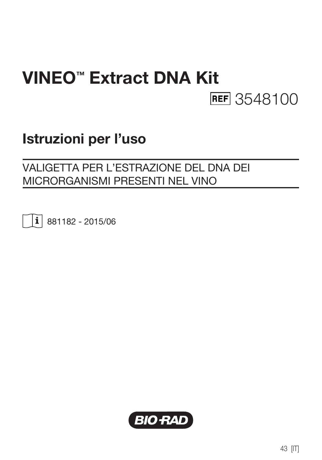# VINEO™ Extract DNA Kit **REF** 3548100

# Istruzioni per l'uso

## VALIGETTA PER L'ESTRAZIONE DEL DNA DEI MICRORGANISMI PRESENTI NEL VINO

 $\vert \mathbf{i} \vert$  881182 - 2015/06

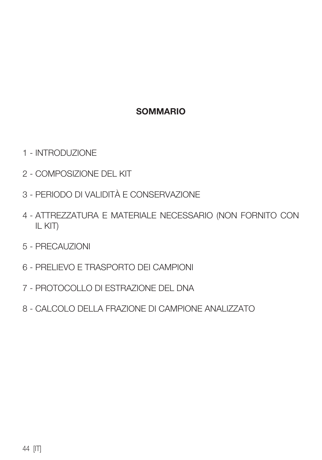#### SOMMARIO

- 1 INTRODUZIONE
- 2 COMPOSIZIONE DEL KIT
- 3 PERIODO DI VALIDITÀ E CONSERVAZIONE
- 4 ATTREZZATURA E MATERIALE NECESSARIO (NON FORNITO CON IL KIT)
- 5 PRECAUZIONI
- 6 PRELIEVO E TRASPORTO DEI CAMPIONI
- 7 PROTOCOLLO DI ESTRAZIONE DEL DNA
- 8 CALCOLO DELLA FRAZIONE DI CAMPIONE ANALIZZATO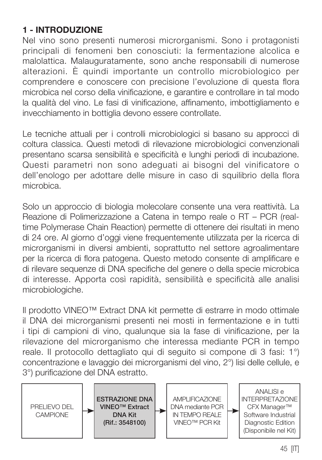## 1 - INTRODUZIONE

Nel vino sono presenti numerosi microrganismi. Sono i protagonisti principali di fenomeni ben conosciuti: la fermentazione alcolica e malolattica. Malauguratamente, sono anche responsabili di numerose alterazioni. È quindi importante un controllo microbiologico per comprendere e conoscere con precisione l'evoluzione di questa flora microbica nel corso della vinificazione, e garantire e controllare in tal modo la qualità del vino. Le fasi di vinificazione, affinamento, imbottigliamento e invecchiamento in bottiglia devono essere controllate.

Le tecniche attuali per i controlli microbiologici si basano su approcci di coltura classica. Questi metodi di rilevazione microbiologici convenzionali presentano scarsa sensibilità e specificità e lunghi periodi di incubazione. Questi parametri non sono adeguati ai bisogni del vinificatore o dell'enologo per adottare delle misure in caso di squilibrio della flora microbica.

Solo un approccio di biologia molecolare consente una vera reattività. La Reazione di Polimerizzazione a Catena in tempo reale o RT – PCR (realtime Polymerase Chain Reaction) permette di ottenere dei risultati in meno di 24 ore. Al giorno d'oggi viene frequentemente utilizzata per la ricerca di microrganismi in diversi ambienti, soprattutto nel settore agroalimentare per la ricerca di flora patogena. Questo metodo consente di amplificare e di rilevare sequenze di DNA specifiche del genere o della specie microbica di interesse. Apporta così rapidità, sensibilità e specificità alle analisi microbiologiche.

Il prodotto VINEO™ Extract DNA kit permette di estrarre in modo ottimale il DNA dei microrganismi presenti nei mosti in fermentazione e in tutti i tipi di campioni di vino, qualunque sia la fase di vinificazione, per la rilevazione del microrganismo che interessa mediante PCR in tempo reale. Il protocollo dettagliato qui di seguito si compone di 3 fasi: 1°) concentrazione e lavaggio dei microrganismi del vino, 2°) lisi delle cellule, e 3°) purificazione del DNA estratto.

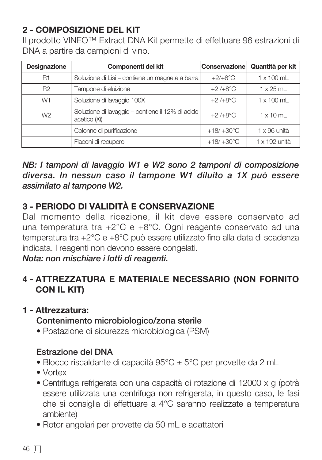## 2 - COMPOSIZIONE DEL KIT

Il prodotto VINEO™ Extract DNA Kit permette di effettuare 96 estrazioni di DNA a partire da campioni di vino.

| Designazione   | Componenti del kit                                               | Conservazione       | Quantità per kit    |
|----------------|------------------------------------------------------------------|---------------------|---------------------|
| <b>R1</b>      | Soluzione di Lisi - contiene un magnete a barra                  | $+2/+8$ °C          | $1 \times 100$ mL   |
| R <sub>2</sub> | Tampone di eluizione                                             | $+2/+8$ °C          | $1 \times 25$ ml    |
| W <sub>1</sub> | Soluzione di lavaggio 100X                                       | $+2/+8°C$           | $1 \times 100$ mL   |
| W <sub>2</sub> | Soluzione di lavaggio - contiene il 12% di acido<br>acetico (Xi) | $+2/+8$ °C          | $1 \times 10$ ml    |
|                | Colonne di purificazione                                         | $+18/+30^{\circ}$ C | $1 \times 96$ unità |
|                | Flaconi di recupero                                              | $+18/+30^{\circ}$ C | 1 x 192 unità       |

*NB: I tamponi di lavaggio W1 e W2 sono 2 tamponi di composizione diversa. In nessun caso il tampone W1 diluito a 1X può essere assimilato al tampone W2.*

## 3 - PERIODO DI VALIDITÀ E CONSERVAZIONE

Dal momento della ricezione, il kit deve essere conservato ad una temperatura tra +2°C e +8°C. Ogni reagente conservato ad una temperatura tra +2°C e +8°C può essere utilizzato fino alla data di scadenza indicata. I reagenti non devono essere congelati.

*Nota: non mischiare i lotti di reagenti.*

## 4 - ATTREZZATURA E MATERIALE NECESSARIO (NON FORNITO CON IL KIT)

#### 1 - Attrezzatura:

#### Contenimento microbiologico/zona sterile

• Postazione di sicurezza microbiologica (PSM)

#### Estrazione del DNA

- Blocco riscaldante di capacità 95°C ± 5°C per provette da 2 mL
- Vortex
- Centrifuga refrigerata con una capacità di rotazione di 12000 x g (potrà essere utilizzata una centrifuga non refrigerata, in questo caso, le fasi che si consiglia di effettuare a 4°C saranno realizzate a temperatura ambiente)
- Rotor angolari per provette da 50 mL e adattatori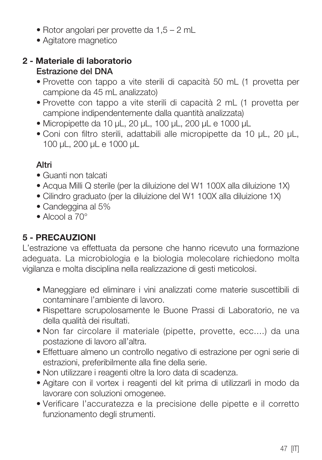- Rotor angolari per provette da 1,5 2 mL
- Agitatore magnetico

#### 2 - Materiale di laboratorio Estrazione del DNA

- Provette con tappo a vite sterili di capacità 50 mL (1 provetta per campione da 45 mL analizzato)
- Provette con tappo a vite sterili di capacità 2 mL (1 provetta per campione indipendentemente dalla quantità analizzata)
- Micropipette da 10 µL, 20 µL, 100 µL, 200 µL e 1000 µL
- Coni con filtro sterili, adattabili alle micropipette da 10 µL, 20 µL, 100 µL, 200 µL e 1000 µL

## Altri

- Guanti non talcati
- Acqua Milli Q sterile (per la diluizione del W1 100X alla diluizione 1X)
- Cilindro graduato (per la diluizione del W1 100X alla diluizione 1X)
- Candeggina al 5%
- Alcool a 70°

## 5 - PRECAUZIONI

L'estrazione va effettuata da persone che hanno ricevuto una formazione adeguata. La microbiologia e la biologia molecolare richiedono molta vigilanza e molta disciplina nella realizzazione di gesti meticolosi.

- Maneggiare ed eliminare i vini analizzati come materie suscettibili di contaminare l'ambiente di lavoro.
- Rispettare scrupolosamente le Buone Prassi di Laboratorio, ne va della qualità dei risultati.
- Non far circolare il materiale (pipette, provette, ecc....) da una postazione di lavoro all'altra.
- Effettuare almeno un controllo negativo di estrazione per ogni serie di estrazioni, preferibilmente alla fine della serie.
- Non utilizzare i reagenti oltre la loro data di scadenza.
- Agitare con il vortex i reagenti del kit prima di utilizzarli in modo da lavorare con soluzioni omogenee.
- Verificare l'accuratezza e la precisione delle pipette e il corretto funzionamento degli strumenti.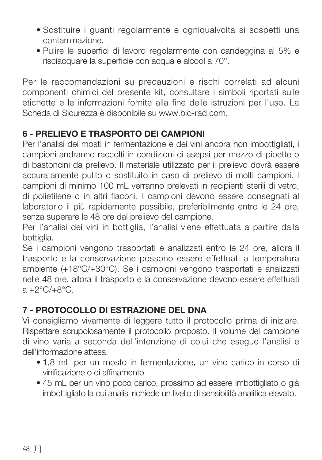- Sostituire i guanti regolarmente e ogniqualvolta si sospetti una contaminazione.
- Pulire le superfici di lavoro regolarmente con candeggina al 5% e risciacquare la superficie con acqua e alcool a 70°.

Per le raccomandazioni su precauzioni e rischi correlati ad alcuni componenti chimici del presente kit, consultare i simboli riportati sulle etichette e le informazioni fornite alla fine delle istruzioni per l'uso. La Scheda di Sicurezza è disponibile su www.bio-rad.com.

## 6 - PRELIEVO E TRASPORTO DEI CAMPIONI

Per l'analisi dei mosti in fermentazione e dei vini ancora non imbottigliati, i campioni andranno raccolti in condizioni di asepsi per mezzo di pipette o di bastoncini da prelievo. Il materiale utilizzato per il prelievo dovrà essere accuratamente pulito o sostituito in caso di prelievo di molti campioni. I campioni di minimo 100 mL verranno prelevati in recipienti sterili di vetro, di polietilene o in altri flaconi. I campioni devono essere consegnati al laboratorio il più rapidamente possibile, preferibilmente entro le 24 ore, senza superare le 48 ore dal prelievo del campione.

Per l'analisi dei vini in bottiglia, l'analisi viene effettuata a partire dalla bottiglia.

Se i campioni vengono trasportati e analizzati entro le 24 ore, allora il trasporto e la conservazione possono essere effettuati a temperatura ambiente (+18°C/+30°C). Se i campioni vengono trasportati e analizzati nelle 48 ore, allora il trasporto e la conservazione devono essere effettuati a +2°C/+8°C.

## 7 - PROTOCOLLO DI ESTRAZIONE DEL DNA

Vi consigliamo vivamente di leggere tutto il protocollo prima di iniziare. Rispettare scrupolosamente il protocollo proposto. Il volume del campione di vino varia a seconda dell'intenzione di colui che esegue l'analisi e dell'informazione attesa.

- 1,8 mL per un mosto in fermentazione, un vino carico in corso di vinificazione o di affinamento
- 45 mL per un vino poco carico, prossimo ad essere imbottigliato o già imbottigliato la cui analisi richiede un livello di sensibilità analitica elevato.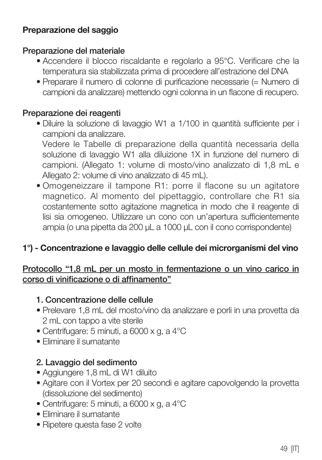## Preparazione del saggio

#### Preparazione del materiale

- Accendere il blocco riscaldante e regolarlo a 95°C. Verificare che la temperatura sia stabilizzata prima di procedere all'estrazione del DNA
- Preparare il numero di colonne di purificazione necessarie (= Numero di campioni da analizzare) mettendo ogni colonna in un flacone di recupero.

#### Preparazione dei reagenti

• Diluire la soluzione di lavaggio W1 a 1/100 in quantità sufficiente per i campioni da analizzare.

 Vedere le Tabelle di preparazione della quantità necessaria della soluzione di lavaggio W1 alla diluizione 1X in funzione del numero di campioni. (Allegato 1: volume di mosto/vino analizzato di 1,8 mL e Allegato 2: volume di vino analizzato di 45 mL).

• Omogeneizzare il tampone R1: porre il flacone su un agitatore magnetico. Al momento del pipettaggio, controllare che R1 sia costantemente sotto agitazione magnetica in modo che il reagente di lisi sia omogeneo. Utilizzare un cono con un'apertura sufficientemente ampia (o una pipetta da 200 µL a 1000 µL con il cono corrispondente)

## 1°) - Concentrazione e lavaggio delle cellule dei microrganismi del vino

#### Protocollo "1,8 mL per un mosto in fermentazione o un vino carico in corso di vinificazione o di affinamento"

#### 1. Concentrazione delle cellule

- Prelevare 1,8 mL del mosto/vino da analizzare e porli in una provetta da 2 mL con tappo a vite sterile
- Centrifugare: 5 minuti, a 6000 x g, a 4°C
- Eliminare il surnatante

#### 2. Lavaggio del sedimento

- Aggiungere 1,8 mL di W1 diluito
- Agitare con il Vortex per 20 secondi e agitare capovolgendo la provetta (dissoluzione del sedimento)
- Centrifugare: 5 minuti, a 6000 x g, a 4°C
- Eliminare il surnatante
- Ripetere questa fase 2 volte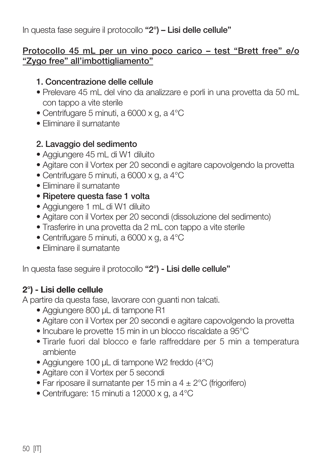In questa fase seguire il protocollo "2°) – Lisi delle cellule"

#### Protocollo 45 mL per un vino poco carico – test "Brett free" e/o "Zygo free" all'imbottigliamento"

#### 1. Concentrazione delle cellule

- Prelevare 45 mL del vino da analizzare e porli in una provetta da 50 mL con tappo a vite sterile
- Centrifugare 5 minuti, a 6000 x g, a 4°C
- Eliminare il surnatante

#### 2. Lavaggio del sedimento

- Aggiungere 45 mL di W1 diluito
- Agitare con il Vortex per 20 secondi e agitare capovolgendo la provetta
- Centrifugare 5 minuti, a 6000 x g, a 4°C
- Eliminare il surnatante
- Ripetere questa fase 1 volta
- Aggiungere 1 mL di W1 diluito
- Agitare con il Vortex per 20 secondi (dissoluzione del sedimento)
- Trasferire in una provetta da 2 mL con tappo a vite sterile
- Centrifugare 5 minuti, a 6000 x g, a 4°C
- Eliminare il surnatante

In questa fase seguire il protocollo "2°) - Lisi delle cellule"

## 2°) - Lisi delle cellule

A partire da questa fase, lavorare con guanti non talcati.

- Aggiungere 800 µL di tampone R1
- Agitare con il Vortex per 20 secondi e agitare capovolgendo la provetta
- Incubare le provette 15 min in un blocco riscaldate a 95°C
- Tirarle fuori dal blocco e farle raffreddare per 5 min a temperatura ambiente
- Aggiungere 100 µL di tampone W2 freddo (4°C)
- Agitare con il Vortex per 5 secondi
- Far riposare il surnatante per 15 min a 4 ± 2°C (frigorifero)
- Centrifugare: 15 minuti a 12000 x g, a 4°C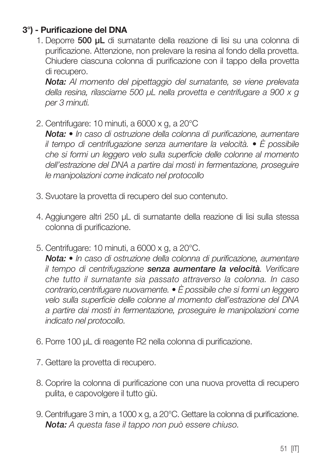## 3°) - Purificazione del DNA

1. Deporre 500 µL di surnatante della reazione di lisi su una colonna di purificazione. Attenzione, non prelevare la resina al fondo della provetta. Chiudere ciascuna colonna di purificazione con il tappo della provetta di recupero.

 *Nota: Al momento del pipettaggio del surnatante, se viene prelevata della resina, rilasciarne 500 µL nella provetta e centrifugare a 900 x g per 3 minuti.*

2. Centrifugare: 10 minuti, a 6000 x g, a 20°C

 *Nota: • In caso di ostruzione della colonna di purificazione, aumentare il tempo di centrifugazione senza aumentare la velocità. • È possibile che si formi un leggero velo sulla superficie delle colonne al momento dell'estrazione del DNA a partire dai mosti in fermentazione, proseguire le manipolazioni come indicato nel protocollo*

- 3. Svuotare la provetta di recupero del suo contenuto.
- 4. Aggiungere altri 250 µL di surnatante della reazione di lisi sulla stessa colonna di purificazione.
- 5. Centrifugare: 10 minuti, a 6000 x g, a 20°C.

 *Nota: • In caso di ostruzione della colonna di purificazione, aumentare il tempo di centrifugazione senza aumentare la velocità. Verificare che tutto il surnatante sia passato attraverso la colonna. In caso contrario,centrifugare nuovamente. • È possibile che si formi un leggero velo sulla superficie delle colonne al momento dell'estrazione del DNA a partire dai mosti in fermentazione, proseguire le manipolazioni come indicato nel protocollo.*

- 6. Porre 100 µL di reagente R2 nella colonna di purificazione.
- 7. Gettare la provetta di recupero.
- 8. Coprire la colonna di purificazione con una nuova provetta di recupero pulita, e capovolgere il tutto giù.
- 9. Centrifugare 3 min, a 1000 x g, a 20°C. Gettare la colonna di purificazione.  *Nota: A questa fase il tappo non può essere chiuso.*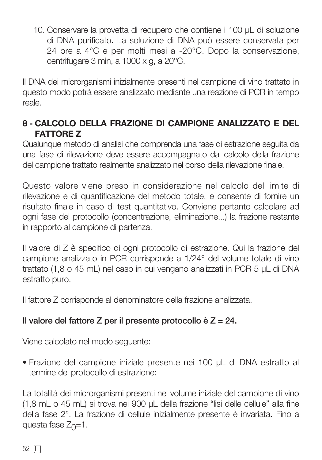10. Conservare la provetta di recupero che contiene i 100 µL di soluzione di DNA purificato. La soluzione di DNA può essere conservata per 24 ore a 4°C e per molti mesi a -20°C. Dopo la conservazione, centrifugare 3 min, a 1000 x g, a 20°C.

Il DNA dei microrganismi inizialmente presenti nel campione di vino trattato in questo modo potrà essere analizzato mediante una reazione di PCR in tempo reale.

## 8 - CALCOLO DELLA FRAZIONE DI CAMPIONE ANALIZZATO E DEL FATTORE Z

Qualunque metodo di analisi che comprenda una fase di estrazione seguita da una fase di rilevazione deve essere accompagnato dal calcolo della frazione del campione trattato realmente analizzato nel corso della rilevazione finale.

Questo valore viene preso in considerazione nel calcolo del limite di rilevazione e di quantificazione del metodo totale, e consente di fornire un risultato finale in caso di test quantitativo. Conviene pertanto calcolare ad ogni fase del protocollo (concentrazione, eliminazione...) la frazione restante in rapporto al campione di partenza.

Il valore di Z è specifico di ogni protocollo di estrazione. Qui la frazione del campione analizzato in PCR corrisponde a 1/24° del volume totale di vino trattato (1,8 o 45 mL) nel caso in cui vengano analizzati in PCR 5 µL di DNA estratto puro.

Il fattore Z corrisponde al denominatore della frazione analizzata.

## Il valore del fattore Z per il presente protocollo è  $Z = 24$ .

Viene calcolato nel modo seguente:

• Frazione del campione iniziale presente nei 100 µL di DNA estratto al termine del protocollo di estrazione:

La totalità dei microrganismi presenti nel volume iniziale del campione di vino (1,8 mL o 45 mL) si trova nei 900 µL della frazione "lisi delle cellule" alla fine della fase 2°. La frazione di cellule inizialmente presente è invariata. Fino a questa fase  $Z_0=1$ .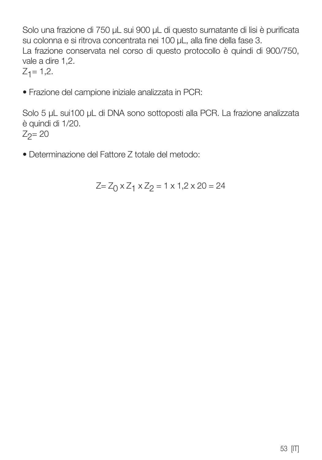Solo una frazione di 750 µL sui 900 µL di questo surnatante di lisi è purificata su colonna e si ritrova concentrata nei 100 µL, alla fine della fase 3. La frazione conservata nel corso di questo protocollo è quindi di 900/750, vale a dire 1,2.  $Z_1 = 1,2.$ 

• Frazione del campione iniziale analizzata in PCR:

Solo 5 µL sui100 µL di DNA sono sottoposti alla PCR. La frazione analizzata è quindi di 1/20.  $Z_2 = 20$ 

• Determinazione del Fattore Z totale del metodo:

$$
Z = Z_0 \times Z_1 \times Z_2 = 1 \times 1, 2 \times 20 = 24
$$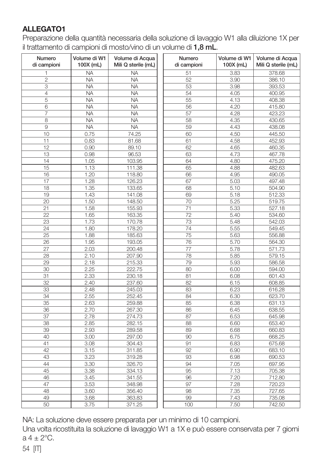#### **ALLEGATO1**

Preparazione della quantità necessaria della soluzione di lavaggio W1 alla diluizione 1X per il trattamento di campioni di mosto/vino di un volume di 1,8 mL.

| Numero<br>di campioni | Volume di W1<br>100X (mL) | Volume di Acqua<br>Mili Q sterile (mL) | Numero<br>di campioni | Volume di W1<br>100X (mL) | Volume di Acqua<br>Mili Q sterile (mL) |
|-----------------------|---------------------------|----------------------------------------|-----------------------|---------------------------|----------------------------------------|
| 1                     | <b>NA</b>                 | <b>NA</b>                              | 51                    | 3.83                      | 378.68                                 |
| $\overline{c}$        | <b>NA</b>                 | <b>NA</b>                              | 52                    | 3.90                      | 386.10                                 |
| 3                     | <b>NA</b>                 | <b>NA</b>                              | 53                    | 3.98                      | 393.53                                 |
| $\overline{4}$        | <b>NA</b>                 | <b>NA</b>                              | 54                    | 4.05                      | 400.95                                 |
| 5                     | <b>NA</b>                 | <b>NA</b>                              | 55                    | 4.13                      | 408.38                                 |
| 6                     | <b>NA</b>                 | <b>NA</b>                              | 56                    | 4.20                      | 415.80                                 |
| 7                     | <b>NA</b>                 | <b>NA</b>                              | 57                    | 4.28                      | 423.23                                 |
| 8                     | <b>NA</b>                 | <b>NA</b>                              | 58                    | 4.35                      | 430.65                                 |
| $\overline{9}$        | <b>NA</b>                 | <b>NA</b>                              | 59                    | 4.43                      | 438.08                                 |
| 10                    | 0.75                      | 74.25                                  | 60                    | 4.50                      | 445.50                                 |
| 11                    | 0.83                      | 81.68                                  | 61                    | 4.58                      | 452.93                                 |
| $\overline{12}$       | 0.90                      | 89.10                                  | 62                    | 4.65                      | 460.35                                 |
| 13                    | 0.98                      | 96.53                                  | 63                    | 4.73                      | 467.78                                 |
| 14                    | 1.05                      | 103.95                                 | 64                    | 4.80                      | 475.20                                 |
| 15                    | 1.13                      | 111.38                                 | 65                    | 4.88                      | 482.63                                 |
| 16                    | 1.20                      | 118.80                                 | 66                    | 4.95                      | 490.05                                 |
| 17                    | 1.28                      | 126.23                                 | 67                    | 5.03                      | 497.48                                 |
| 18                    | 1.35                      | 133.65                                 | 68                    | 5.10                      | 504.90                                 |
| 19                    | 1.43                      | 141.08                                 | 69                    | 5.18                      | 512.33                                 |
| 20                    | 1.50                      | 148.50                                 | 70                    | 5.25                      | 519.75                                 |
| 21                    | 1.58                      | 155.93                                 | 71                    | 5.33                      | 527.18                                 |
| 22                    | 1.65                      | 163.35                                 | $\overline{72}$       | 5.40                      | 534.60                                 |
| 23                    | 1.73                      | 170.78                                 | 73                    | 5.48                      | 542.03                                 |
| 24                    | 1.80                      | 178.20                                 | 74                    | 5.55                      | 549.45                                 |
| 25                    | 1.88                      | 185.63                                 | 75                    | 5.63                      | 556.88                                 |
| 26                    | 1.95                      | 193.05                                 | 76                    | 5.70                      | 564.30                                 |
| 27                    | 2.03                      | 200.48                                 | 77                    | 5.78                      | 571.73                                 |
| 28                    | 2.10                      | 207.90                                 | 78                    | 5.85                      | 579.15                                 |
| 29                    | 2.18                      | 215.33                                 | 79                    | 5.93                      | 586.58                                 |
| 30                    | 2.25                      | 222.75                                 | 80                    | 6.00                      | 594.00                                 |
| 31                    | 2.33                      | 230.18                                 | 81                    | 6.08                      | 601.43                                 |
| 32                    | 2.40                      | 237.60                                 | 82                    | 6.15                      | 608.85                                 |
| 33                    | 2.48                      | 245.03                                 | 83                    | 6.23                      | 616.28                                 |
| 34                    | 2.55                      | 252.45                                 | 84                    | 6.30                      | 623.70                                 |
| 35                    | 2.63                      | 259.88                                 | 85                    | 6.38                      | 631.13                                 |
| 36                    | 2.70                      | 267.30                                 | 86                    | 6.45                      | 638.55                                 |
| 37                    | 2.78                      | 274.73                                 | 87                    | 6.53                      | 645.98                                 |
| 38                    | 2.85                      | 282.15                                 | 88                    | 6.60                      | 653.40                                 |
| 39                    | 2.93                      | 289.58                                 | 89                    | 6.68                      | 660.83                                 |
| 40                    | 3.00                      | 297.00                                 | 90                    | 6.75                      | 668.25                                 |
| 41                    | 3.08                      | 304.43                                 | 91                    | 6.83                      | 675.68                                 |
| 42                    | 3.15                      | 311.85                                 | 92                    | 6.90                      | 683.10                                 |
| 43                    | 3.23                      | 319.28                                 | 93                    | 6.98                      | 690.53                                 |
| 44                    | 3.30                      | 326.70                                 | 94                    | 7.05                      | 697.95                                 |
| 45                    | 3.38                      | 334.13                                 | 95                    | 7.13                      | 705.38                                 |
| 46                    | 3.45                      | 341.55                                 | 96                    | 7.20                      | 712.80                                 |
| 47                    | 3.53                      | 348.98                                 | 97                    | 7.28                      | 720.23                                 |
| 48                    | 3.60                      | 356.40                                 | 98                    | 7.35                      | 727.65                                 |
| 49                    | 3.68                      | 363.83                                 | 99                    | 7.43                      | 735.08                                 |
| 50                    | 3.75                      | 371.25                                 | 100                   | 7.50                      | 742.50                                 |

NA: La soluzione deve essere preparata per un minimo di 10 campioni.

Una volta ricostituita la soluzione di lavaggio W1 a 1X e può essere conservata per 7 giorni  $a 4 + 2^{\circ}C$ .

54 [IT]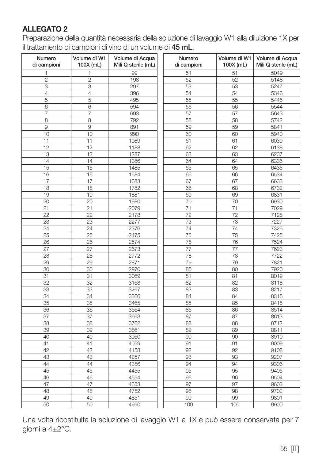#### ALLEGATO 2

Preparazione della quantità necessaria della soluzione di lavaggio W1 alla diluizione 1X per il trattamento di campioni di vino di un volume di 45 mL.

| Numero<br>di campioni | Volume di W1<br>100X (mL) | Volume di Acqua<br>Mili Q sterile (mL) | Numero<br>di campioni | Volume di W1<br>100X (mL) | Volume di Acqua<br>Mili Q sterile (mL) |
|-----------------------|---------------------------|----------------------------------------|-----------------------|---------------------------|----------------------------------------|
| 1                     | 1                         | 99                                     | 51                    | 51                        | 5049                                   |
| $\overline{c}$        | $\overline{c}$            | 198                                    | 52                    | 52                        | 5148                                   |
| 3                     | 3                         | 297                                    | 53                    | 53                        | 5247                                   |
| 4                     | 4                         | 396                                    | 54                    | 54                        | 5346                                   |
| 5                     | 5                         | 495                                    | 55                    | 55                        | 5445                                   |
| 6                     | 6                         | 594                                    | 56                    | 56                        | 5544                                   |
| $\overline{7}$        | $\overline{7}$            | 693                                    | 57                    | 57                        | 5643                                   |
| 8                     | 8                         | 792                                    | 58                    | 58                        | 5742                                   |
| 9                     | 9                         | 891                                    | 59                    | 59                        | 5841                                   |
| 10                    | 10                        | 990                                    | 60                    | 60                        | 5940                                   |
| 11                    | 11                        | 1089                                   | 61                    | 61                        | 6039                                   |
| 12                    | 12                        | 1188                                   | 62                    | 62                        | 6138                                   |
| 13                    | 13                        | 1287                                   | 63                    | 63                        | 6237                                   |
| 14                    | 14                        | 1386                                   | 64                    | 64                        | 6336                                   |
| 15                    | 15                        | 1485                                   | 65                    | 65                        | 6435                                   |
| 16                    | 16                        | 1584                                   | 66                    | 66                        | 6534                                   |
| 17                    | 17                        | 1683                                   | 67                    | 67                        | 6633                                   |
| 18                    | 18                        | 1782                                   | 68                    | 68                        | 6732                                   |
| 19                    | 19                        | 1881                                   | 69                    | 69                        | 6831                                   |
| 20                    | 20                        | 1980                                   | 70                    | 70                        | 6930                                   |
| 21                    | 21                        | 2079                                   | 71                    | 71                        | 7029                                   |
| 22                    | $\overline{22}$           | 2178                                   | 72                    | $\overline{72}$           | 7128                                   |
| 23                    | 23                        | 2277                                   | 73                    | 73                        | 7227                                   |
| 24                    | 24                        | 2376                                   | 74                    | $\overline{74}$           | 7326                                   |
| 25                    | 25                        | 2475                                   | 75                    | $\overline{75}$           | 7425                                   |
| 26                    | 26                        | 2574                                   | 76                    | 76                        | 7524                                   |
| 27                    | 27                        | 2673                                   | 77                    | 77                        | 7623                                   |
| 28                    | 28                        | 2772                                   | 78                    | 78                        | 7722                                   |
| 29                    | 29                        | 2871                                   | 79                    | 79                        | 7821                                   |
| 30                    | 30                        | 2970                                   | 80                    | 80                        | 7920                                   |
| 31                    | 31                        | 3069                                   | 81                    | 81                        | 8019                                   |
| 32                    | 32                        | 3168                                   | 82                    | 82                        | 8118                                   |
| 33                    | 33                        | 3267                                   | 83                    | 83                        | 8217                                   |
| 34                    | 34                        | 3366                                   | 84                    | 84                        | 8316                                   |
| 35                    | 35                        | 3465                                   | 85                    | 85                        | 8415                                   |
| 36                    | 36                        | 3564                                   | 86                    | 86                        | 8514                                   |
| 37                    | 37                        | 3663                                   | 87                    | 87                        | 8613                                   |
| 38                    | 38                        | 3762                                   | 88                    | 88                        | 8712                                   |
| 39                    | 39                        | 3861                                   | 89                    | 89                        | 8811                                   |
| 40                    | 40                        | 3960                                   | 90                    | 90                        | 8910                                   |
| 41                    | 41                        | 4059                                   | 91                    | 91                        | 9009                                   |
| 42                    | 42                        | 4158                                   | 92                    | 92                        | 9108                                   |
| 43                    | 43                        | 4257                                   | 93                    | 93                        | 9207                                   |
| 44                    | 44                        | 4356                                   | 94                    | 94                        | 9306                                   |
| 45                    | 45                        | 4455                                   | 95                    | 95                        | 9405                                   |
| 46                    | 46                        | 4554                                   | 96                    | 96                        | 9504                                   |
|                       | 47                        |                                        | 97                    | 97                        |                                        |
| 47                    |                           | 4653                                   |                       |                           | 9603                                   |
| 48                    | 48                        | 4752                                   | 98                    | 98                        | 9702                                   |
| 49                    | 49                        | 4851                                   | 99                    | 99                        | 9801                                   |
| 50                    | 50                        | 4950                                   | 100                   | 100                       | 9900                                   |

Una volta ricostituita la soluzione di lavaggio W1 a 1X e può essere conservata per 7 giorni a 4±2°C.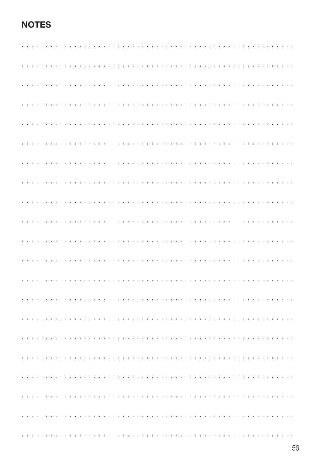## **NOTES**

|  |  |  |  |  |  |  |  |  |  |  |  |  |  | a de la caractería de la caractería de la caractería de la caractería                                                                                                                                                         |  |  |  |  |  |  |  |
|--|--|--|--|--|--|--|--|--|--|--|--|--|--|-------------------------------------------------------------------------------------------------------------------------------------------------------------------------------------------------------------------------------|--|--|--|--|--|--|--|
|  |  |  |  |  |  |  |  |  |  |  |  |  |  |                                                                                                                                                                                                                               |  |  |  |  |  |  |  |
|  |  |  |  |  |  |  |  |  |  |  |  |  |  |                                                                                                                                                                                                                               |  |  |  |  |  |  |  |
|  |  |  |  |  |  |  |  |  |  |  |  |  |  |                                                                                                                                                                                                                               |  |  |  |  |  |  |  |
|  |  |  |  |  |  |  |  |  |  |  |  |  |  |                                                                                                                                                                                                                               |  |  |  |  |  |  |  |
|  |  |  |  |  |  |  |  |  |  |  |  |  |  |                                                                                                                                                                                                                               |  |  |  |  |  |  |  |
|  |  |  |  |  |  |  |  |  |  |  |  |  |  |                                                                                                                                                                                                                               |  |  |  |  |  |  |  |
|  |  |  |  |  |  |  |  |  |  |  |  |  |  | a construction of the construction of the construction of the                                                                                                                                                                 |  |  |  |  |  |  |  |
|  |  |  |  |  |  |  |  |  |  |  |  |  |  |                                                                                                                                                                                                                               |  |  |  |  |  |  |  |
|  |  |  |  |  |  |  |  |  |  |  |  |  |  |                                                                                                                                                                                                                               |  |  |  |  |  |  |  |
|  |  |  |  |  |  |  |  |  |  |  |  |  |  |                                                                                                                                                                                                                               |  |  |  |  |  |  |  |
|  |  |  |  |  |  |  |  |  |  |  |  |  |  |                                                                                                                                                                                                                               |  |  |  |  |  |  |  |
|  |  |  |  |  |  |  |  |  |  |  |  |  |  | a de la caractería de la caractería de la caractería de la caractería                                                                                                                                                         |  |  |  |  |  |  |  |
|  |  |  |  |  |  |  |  |  |  |  |  |  |  | a construction of the construction of the construction of the construction of the construction of the construction of the construction of the construction of the construction of the construction of the construction of the |  |  |  |  |  |  |  |
|  |  |  |  |  |  |  |  |  |  |  |  |  |  |                                                                                                                                                                                                                               |  |  |  |  |  |  |  |
|  |  |  |  |  |  |  |  |  |  |  |  |  |  |                                                                                                                                                                                                                               |  |  |  |  |  |  |  |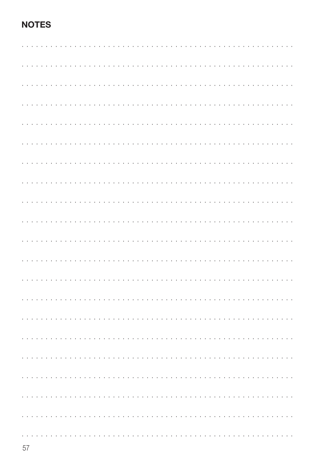## **NOTES**

|  |  |  |  |  |  |  |  |  |  | $\cdot$ |                    |        |               |                                                                                                                                                                                                                                |         |        |  |  |  |  |  |  |  |  |  |
|--|--|--|--|--|--|--|--|--|--|---------|--------------------|--------|---------------|--------------------------------------------------------------------------------------------------------------------------------------------------------------------------------------------------------------------------------|---------|--------|--|--|--|--|--|--|--|--|--|
|  |  |  |  |  |  |  |  |  |  |         |                    |        |               | and the company of the company of the company of the company of the company of the company of the company of the company of the company of the company of the company of the company of the company of the company of the comp |         |        |  |  |  |  |  |  |  |  |  |
|  |  |  |  |  |  |  |  |  |  |         |                    |        |               | .                                                                                                                                                                                                                              |         |        |  |  |  |  |  |  |  |  |  |
|  |  |  |  |  |  |  |  |  |  |         |                    |        |               |                                                                                                                                                                                                                                |         |        |  |  |  |  |  |  |  |  |  |
|  |  |  |  |  |  |  |  |  |  |         |                    |        |               |                                                                                                                                                                                                                                |         |        |  |  |  |  |  |  |  |  |  |
|  |  |  |  |  |  |  |  |  |  |         |                    |        |               |                                                                                                                                                                                                                                |         |        |  |  |  |  |  |  |  |  |  |
|  |  |  |  |  |  |  |  |  |  |         |                    |        |               |                                                                                                                                                                                                                                |         |        |  |  |  |  |  |  |  |  |  |
|  |  |  |  |  |  |  |  |  |  |         |                    |        |               |                                                                                                                                                                                                                                |         |        |  |  |  |  |  |  |  |  |  |
|  |  |  |  |  |  |  |  |  |  |         |                    |        |               |                                                                                                                                                                                                                                |         |        |  |  |  |  |  |  |  |  |  |
|  |  |  |  |  |  |  |  |  |  |         |                    |        |               |                                                                                                                                                                                                                                |         |        |  |  |  |  |  |  |  |  |  |
|  |  |  |  |  |  |  |  |  |  |         |                    |        |               |                                                                                                                                                                                                                                |         |        |  |  |  |  |  |  |  |  |  |
|  |  |  |  |  |  |  |  |  |  |         |                    |        |               |                                                                                                                                                                                                                                |         |        |  |  |  |  |  |  |  |  |  |
|  |  |  |  |  |  |  |  |  |  |         |                    |        |               |                                                                                                                                                                                                                                |         |        |  |  |  |  |  |  |  |  |  |
|  |  |  |  |  |  |  |  |  |  |         | and a series and a | $\sim$ | $\mathcal{L}$ |                                                                                                                                                                                                                                | $\cdot$ | $\sim$ |  |  |  |  |  |  |  |  |  |
|  |  |  |  |  |  |  |  |  |  |         |                    |        |               |                                                                                                                                                                                                                                |         |        |  |  |  |  |  |  |  |  |  |
|  |  |  |  |  |  |  |  |  |  |         |                    |        |               |                                                                                                                                                                                                                                |         |        |  |  |  |  |  |  |  |  |  |
|  |  |  |  |  |  |  |  |  |  |         |                    |        |               |                                                                                                                                                                                                                                |         |        |  |  |  |  |  |  |  |  |  |
|  |  |  |  |  |  |  |  |  |  |         |                    |        |               |                                                                                                                                                                                                                                |         |        |  |  |  |  |  |  |  |  |  |